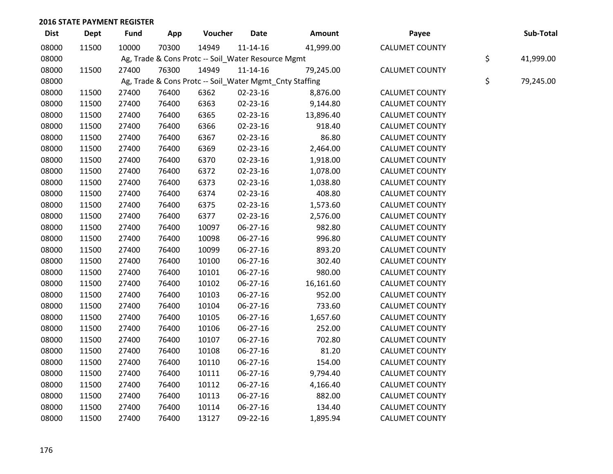| <b>Dist</b> | <b>Dept</b> | <b>Fund</b> | App   | Voucher                                            | <b>Date</b>    | Amount                                                  | Payee                 | Sub-Total       |
|-------------|-------------|-------------|-------|----------------------------------------------------|----------------|---------------------------------------------------------|-----------------------|-----------------|
| 08000       | 11500       | 10000       | 70300 | 14949                                              | $11 - 14 - 16$ | 41,999.00                                               | <b>CALUMET COUNTY</b> |                 |
| 08000       |             |             |       | Ag, Trade & Cons Protc -- Soil_Water Resource Mgmt |                |                                                         |                       | \$<br>41,999.00 |
| 08000       | 11500       | 27400       | 76300 | 14949                                              | $11 - 14 - 16$ | 79,245.00                                               | <b>CALUMET COUNTY</b> |                 |
| 08000       |             |             |       |                                                    |                | Ag, Trade & Cons Protc -- Soil_Water Mgmt_Cnty Staffing |                       | \$<br>79,245.00 |
| 08000       | 11500       | 27400       | 76400 | 6362                                               | 02-23-16       | 8,876.00                                                | <b>CALUMET COUNTY</b> |                 |
| 08000       | 11500       | 27400       | 76400 | 6363                                               | 02-23-16       | 9,144.80                                                | <b>CALUMET COUNTY</b> |                 |
| 08000       | 11500       | 27400       | 76400 | 6365                                               | 02-23-16       | 13,896.40                                               | <b>CALUMET COUNTY</b> |                 |
| 08000       | 11500       | 27400       | 76400 | 6366                                               | 02-23-16       | 918.40                                                  | <b>CALUMET COUNTY</b> |                 |
| 08000       | 11500       | 27400       | 76400 | 6367                                               | 02-23-16       | 86.80                                                   | <b>CALUMET COUNTY</b> |                 |
| 08000       | 11500       | 27400       | 76400 | 6369                                               | 02-23-16       | 2,464.00                                                | <b>CALUMET COUNTY</b> |                 |
| 08000       | 11500       | 27400       | 76400 | 6370                                               | 02-23-16       | 1,918.00                                                | <b>CALUMET COUNTY</b> |                 |
| 08000       | 11500       | 27400       | 76400 | 6372                                               | 02-23-16       | 1,078.00                                                | <b>CALUMET COUNTY</b> |                 |
| 08000       | 11500       | 27400       | 76400 | 6373                                               | 02-23-16       | 1,038.80                                                | <b>CALUMET COUNTY</b> |                 |
| 08000       | 11500       | 27400       | 76400 | 6374                                               | 02-23-16       | 408.80                                                  | <b>CALUMET COUNTY</b> |                 |
| 08000       | 11500       | 27400       | 76400 | 6375                                               | 02-23-16       | 1,573.60                                                | <b>CALUMET COUNTY</b> |                 |
| 08000       | 11500       | 27400       | 76400 | 6377                                               | 02-23-16       | 2,576.00                                                | <b>CALUMET COUNTY</b> |                 |
| 08000       | 11500       | 27400       | 76400 | 10097                                              | 06-27-16       | 982.80                                                  | <b>CALUMET COUNTY</b> |                 |
| 08000       | 11500       | 27400       | 76400 | 10098                                              | 06-27-16       | 996.80                                                  | <b>CALUMET COUNTY</b> |                 |
| 08000       | 11500       | 27400       | 76400 | 10099                                              | 06-27-16       | 893.20                                                  | <b>CALUMET COUNTY</b> |                 |
| 08000       | 11500       | 27400       | 76400 | 10100                                              | 06-27-16       | 302.40                                                  | <b>CALUMET COUNTY</b> |                 |
| 08000       | 11500       | 27400       | 76400 | 10101                                              | 06-27-16       | 980.00                                                  | <b>CALUMET COUNTY</b> |                 |
| 08000       | 11500       | 27400       | 76400 | 10102                                              | 06-27-16       | 16,161.60                                               | <b>CALUMET COUNTY</b> |                 |
| 08000       | 11500       | 27400       | 76400 | 10103                                              | 06-27-16       | 952.00                                                  | <b>CALUMET COUNTY</b> |                 |
| 08000       | 11500       | 27400       | 76400 | 10104                                              | 06-27-16       | 733.60                                                  | <b>CALUMET COUNTY</b> |                 |
| 08000       | 11500       | 27400       | 76400 | 10105                                              | 06-27-16       | 1,657.60                                                | <b>CALUMET COUNTY</b> |                 |
| 08000       | 11500       | 27400       | 76400 | 10106                                              | 06-27-16       | 252.00                                                  | <b>CALUMET COUNTY</b> |                 |
| 08000       | 11500       | 27400       | 76400 | 10107                                              | 06-27-16       | 702.80                                                  | <b>CALUMET COUNTY</b> |                 |
| 08000       | 11500       | 27400       | 76400 | 10108                                              | 06-27-16       | 81.20                                                   | <b>CALUMET COUNTY</b> |                 |
| 08000       | 11500       | 27400       | 76400 | 10110                                              | 06-27-16       | 154.00                                                  | <b>CALUMET COUNTY</b> |                 |
| 08000       | 11500       | 27400       | 76400 | 10111                                              | 06-27-16       | 9,794.40                                                | <b>CALUMET COUNTY</b> |                 |
| 08000       | 11500       | 27400       | 76400 | 10112                                              | 06-27-16       | 4,166.40                                                | <b>CALUMET COUNTY</b> |                 |
| 08000       | 11500       | 27400       | 76400 | 10113                                              | 06-27-16       | 882.00                                                  | <b>CALUMET COUNTY</b> |                 |
| 08000       | 11500       | 27400       | 76400 | 10114                                              | 06-27-16       | 134.40                                                  | <b>CALUMET COUNTY</b> |                 |
| 08000       | 11500       | 27400       | 76400 | 13127                                              | 09-22-16       | 1,895.94                                                | <b>CALUMET COUNTY</b> |                 |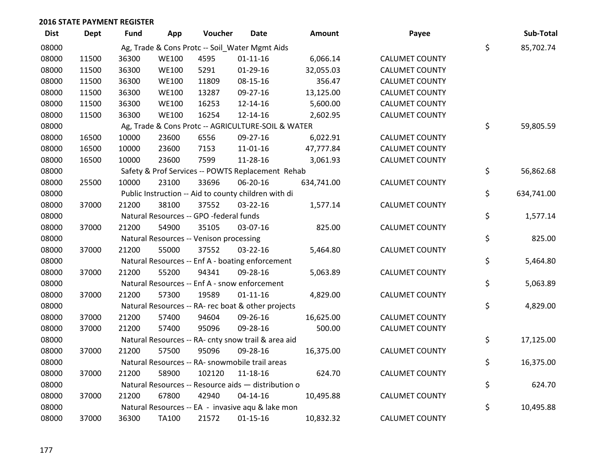| <b>Dist</b> | <b>Dept</b> | <b>Fund</b> | App          | Voucher                                              | Date           | <b>Amount</b> | Payee                 | Sub-Total        |
|-------------|-------------|-------------|--------------|------------------------------------------------------|----------------|---------------|-----------------------|------------------|
| 08000       |             |             |              | Ag, Trade & Cons Protc -- Soil_Water Mgmt Aids       |                |               |                       | \$<br>85,702.74  |
| 08000       | 11500       | 36300       | <b>WE100</b> | 4595                                                 | $01 - 11 - 16$ | 6,066.14      | <b>CALUMET COUNTY</b> |                  |
| 08000       | 11500       | 36300       | <b>WE100</b> | 5291                                                 | $01-29-16$     | 32,055.03     | <b>CALUMET COUNTY</b> |                  |
| 08000       | 11500       | 36300       | <b>WE100</b> | 11809                                                | 08-15-16       | 356.47        | <b>CALUMET COUNTY</b> |                  |
| 08000       | 11500       | 36300       | <b>WE100</b> | 13287                                                | 09-27-16       | 13,125.00     | <b>CALUMET COUNTY</b> |                  |
| 08000       | 11500       | 36300       | <b>WE100</b> | 16253                                                | 12-14-16       | 5,600.00      | <b>CALUMET COUNTY</b> |                  |
| 08000       | 11500       | 36300       | <b>WE100</b> | 16254                                                | 12-14-16       | 2,602.95      | <b>CALUMET COUNTY</b> |                  |
| 08000       |             |             |              | Ag, Trade & Cons Protc -- AGRICULTURE-SOIL & WATER   |                |               |                       | \$<br>59,805.59  |
| 08000       | 16500       | 10000       | 23600        | 6556                                                 | 09-27-16       | 6,022.91      | <b>CALUMET COUNTY</b> |                  |
| 08000       | 16500       | 10000       | 23600        | 7153                                                 | 11-01-16       | 47,777.84     | <b>CALUMET COUNTY</b> |                  |
| 08000       | 16500       | 10000       | 23600        | 7599                                                 | 11-28-16       | 3,061.93      | <b>CALUMET COUNTY</b> |                  |
| 08000       |             |             |              | Safety & Prof Services -- POWTS Replacement Rehab    |                |               |                       | \$<br>56,862.68  |
| 08000       | 25500       | 10000       | 23100        | 33696                                                | 06-20-16       | 634,741.00    | <b>CALUMET COUNTY</b> |                  |
| 08000       |             |             |              | Public Instruction -- Aid to county children with di |                |               |                       | \$<br>634,741.00 |
| 08000       | 37000       | 21200       | 38100        | 37552                                                | 03-22-16       | 1,577.14      | <b>CALUMET COUNTY</b> |                  |
| 08000       |             |             |              | Natural Resources -- GPO -federal funds              |                |               |                       | \$<br>1,577.14   |
| 08000       | 37000       | 21200       | 54900        | 35105                                                | 03-07-16       | 825.00        | <b>CALUMET COUNTY</b> |                  |
| 08000       |             |             |              | Natural Resources -- Venison processing              |                |               |                       | \$<br>825.00     |
| 08000       | 37000       | 21200       | 55000        | 37552                                                | 03-22-16       | 5,464.80      | <b>CALUMET COUNTY</b> |                  |
| 08000       |             |             |              | Natural Resources -- Enf A - boating enforcement     |                |               |                       | \$<br>5,464.80   |
| 08000       | 37000       | 21200       | 55200        | 94341                                                | 09-28-16       | 5,063.89      | <b>CALUMET COUNTY</b> |                  |
| 08000       |             |             |              | Natural Resources -- Enf A - snow enforcement        |                |               |                       | \$<br>5,063.89   |
| 08000       | 37000       | 21200       | 57300        | 19589                                                | $01 - 11 - 16$ | 4,829.00      | <b>CALUMET COUNTY</b> |                  |
| 08000       |             |             |              | Natural Resources -- RA- rec boat & other projects   |                |               |                       | \$<br>4,829.00   |
| 08000       | 37000       | 21200       | 57400        | 94604                                                | 09-26-16       | 16,625.00     | <b>CALUMET COUNTY</b> |                  |
| 08000       | 37000       | 21200       | 57400        | 95096                                                | 09-28-16       | 500.00        | <b>CALUMET COUNTY</b> |                  |
| 08000       |             |             |              | Natural Resources -- RA- cnty snow trail & area aid  |                |               |                       | \$<br>17,125.00  |
| 08000       | 37000       | 21200       | 57500        | 95096                                                | 09-28-16       | 16,375.00     | <b>CALUMET COUNTY</b> |                  |
| 08000       |             |             |              | Natural Resources -- RA- snowmobile trail areas      |                |               |                       | \$<br>16,375.00  |
| 08000       | 37000       | 21200       | 58900        | 102120                                               | $11 - 18 - 16$ | 624.70        | <b>CALUMET COUNTY</b> |                  |
| 08000       |             |             |              | Natural Resources -- Resource aids - distribution o  |                |               |                       | \$<br>624.70     |
| 08000       | 37000       | 21200       | 67800        | 42940                                                | $04 - 14 - 16$ | 10,495.88     | <b>CALUMET COUNTY</b> |                  |
| 08000       |             |             |              | Natural Resources -- EA - invasive aqu & lake mon    |                |               |                       | \$<br>10,495.88  |
| 08000       | 37000       | 36300       | <b>TA100</b> | 21572                                                | $01 - 15 - 16$ | 10,832.32     | <b>CALUMET COUNTY</b> |                  |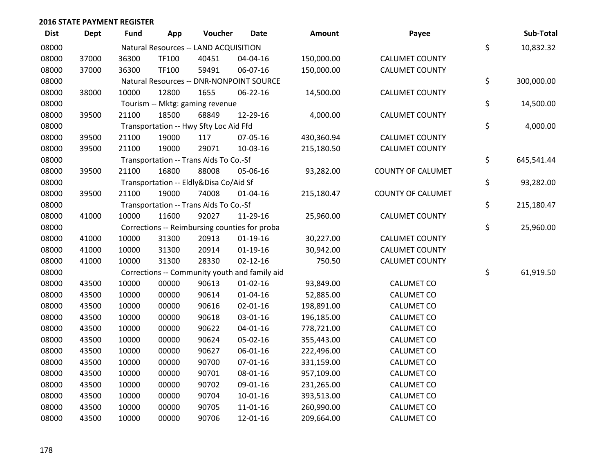| <b>Dist</b> | <b>Dept</b> | <b>Fund</b> | App   | Voucher                                | <b>Date</b>                                   | <b>Amount</b> | Payee                    | Sub-Total        |
|-------------|-------------|-------------|-------|----------------------------------------|-----------------------------------------------|---------------|--------------------------|------------------|
| 08000       |             |             |       | Natural Resources -- LAND ACQUISITION  |                                               |               |                          | \$<br>10,832.32  |
| 08000       | 37000       | 36300       | TF100 | 40451                                  | 04-04-16                                      | 150,000.00    | <b>CALUMET COUNTY</b>    |                  |
| 08000       | 37000       | 36300       | TF100 | 59491                                  | 06-07-16                                      | 150,000.00    | <b>CALUMET COUNTY</b>    |                  |
| 08000       |             |             |       |                                        | Natural Resources -- DNR-NONPOINT SOURCE      |               |                          | \$<br>300,000.00 |
| 08000       | 38000       | 10000       | 12800 | 1655                                   | 06-22-16                                      | 14,500.00     | <b>CALUMET COUNTY</b>    |                  |
| 08000       |             |             |       | Tourism -- Mktg: gaming revenue        |                                               |               |                          | \$<br>14,500.00  |
| 08000       | 39500       | 21100       | 18500 | 68849                                  | 12-29-16                                      | 4,000.00      | <b>CALUMET COUNTY</b>    |                  |
| 08000       |             |             |       | Transportation -- Hwy Sfty Loc Aid Ffd |                                               |               |                          | \$<br>4,000.00   |
| 08000       | 39500       | 21100       | 19000 | 117                                    | 07-05-16                                      | 430,360.94    | <b>CALUMET COUNTY</b>    |                  |
| 08000       | 39500       | 21100       | 19000 | 29071                                  | 10-03-16                                      | 215,180.50    | <b>CALUMET COUNTY</b>    |                  |
| 08000       |             |             |       | Transportation -- Trans Aids To Co.-Sf |                                               |               |                          | \$<br>645,541.44 |
| 08000       | 39500       | 21100       | 16800 | 88008                                  | 05-06-16                                      | 93,282.00     | <b>COUNTY OF CALUMET</b> |                  |
| 08000       |             |             |       | Transportation -- Eldly&Disa Co/Aid Sf |                                               |               |                          | \$<br>93,282.00  |
| 08000       | 39500       | 21100       | 19000 | 74008                                  | $01 - 04 - 16$                                | 215,180.47    | <b>COUNTY OF CALUMET</b> |                  |
| 08000       |             |             |       | Transportation -- Trans Aids To Co.-Sf |                                               |               |                          | \$<br>215,180.47 |
| 08000       | 41000       | 10000       | 11600 | 92027                                  | 11-29-16                                      | 25,960.00     | <b>CALUMET COUNTY</b>    |                  |
| 08000       |             |             |       |                                        | Corrections -- Reimbursing counties for proba |               |                          | \$<br>25,960.00  |
| 08000       | 41000       | 10000       | 31300 | 20913                                  | $01-19-16$                                    | 30,227.00     | <b>CALUMET COUNTY</b>    |                  |
| 08000       | 41000       | 10000       | 31300 | 20914                                  | $01-19-16$                                    | 30,942.00     | <b>CALUMET COUNTY</b>    |                  |
| 08000       | 41000       | 10000       | 31300 | 28330                                  | $02 - 12 - 16$                                | 750.50        | <b>CALUMET COUNTY</b>    |                  |
| 08000       |             |             |       |                                        | Corrections -- Community youth and family aid |               |                          | \$<br>61,919.50  |
| 08000       | 43500       | 10000       | 00000 | 90613                                  | $01 - 02 - 16$                                | 93,849.00     | <b>CALUMET CO</b>        |                  |
| 08000       | 43500       | 10000       | 00000 | 90614                                  | $01 - 04 - 16$                                | 52,885.00     | <b>CALUMET CO</b>        |                  |
| 08000       | 43500       | 10000       | 00000 | 90616                                  | $02 - 01 - 16$                                | 198,891.00    | <b>CALUMET CO</b>        |                  |
| 08000       | 43500       | 10000       | 00000 | 90618                                  | 03-01-16                                      | 196,185.00    | <b>CALUMET CO</b>        |                  |
| 08000       | 43500       | 10000       | 00000 | 90622                                  | $04 - 01 - 16$                                | 778,721.00    | <b>CALUMET CO</b>        |                  |
| 08000       | 43500       | 10000       | 00000 | 90624                                  | 05-02-16                                      | 355,443.00    | <b>CALUMET CO</b>        |                  |
| 08000       | 43500       | 10000       | 00000 | 90627                                  | 06-01-16                                      | 222,496.00    | <b>CALUMET CO</b>        |                  |
| 08000       | 43500       | 10000       | 00000 | 90700                                  | $07 - 01 - 16$                                | 331,159.00    | <b>CALUMET CO</b>        |                  |
| 08000       | 43500       | 10000       | 00000 | 90701                                  | 08-01-16                                      | 957,109.00    | <b>CALUMET CO</b>        |                  |
| 08000       | 43500       | 10000       | 00000 | 90702                                  | 09-01-16                                      | 231,265.00    | <b>CALUMET CO</b>        |                  |
| 08000       | 43500       | 10000       | 00000 | 90704                                  | $10-01-16$                                    | 393,513.00    | <b>CALUMET CO</b>        |                  |
| 08000       | 43500       | 10000       | 00000 | 90705                                  | 11-01-16                                      | 260,990.00    | <b>CALUMET CO</b>        |                  |
| 08000       | 43500       | 10000       | 00000 | 90706                                  | 12-01-16                                      | 209,664.00    | <b>CALUMET CO</b>        |                  |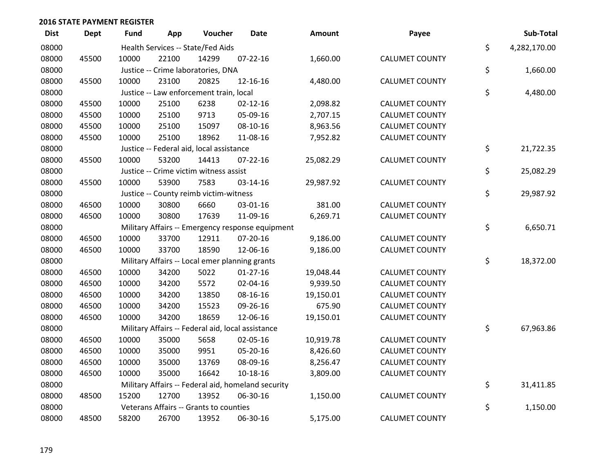| <b>Dist</b> | <b>Dept</b> | <b>Fund</b> | App   | Voucher                                           | <b>Date</b>                                        | <b>Amount</b> | Payee                 | Sub-Total          |
|-------------|-------------|-------------|-------|---------------------------------------------------|----------------------------------------------------|---------------|-----------------------|--------------------|
| 08000       |             |             |       | Health Services -- State/Fed Aids                 |                                                    |               |                       | \$<br>4,282,170.00 |
| 08000       | 45500       | 10000       | 22100 | 14299                                             | $07 - 22 - 16$                                     | 1,660.00      | <b>CALUMET COUNTY</b> |                    |
| 08000       |             |             |       | Justice -- Crime laboratories, DNA                |                                                    |               |                       | \$<br>1,660.00     |
| 08000       | 45500       | 10000       | 23100 | 20825                                             | 12-16-16                                           | 4,480.00      | <b>CALUMET COUNTY</b> |                    |
| 08000       |             |             |       | Justice -- Law enforcement train, local           |                                                    |               |                       | \$<br>4,480.00     |
| 08000       | 45500       | 10000       | 25100 | 6238                                              | $02 - 12 - 16$                                     | 2,098.82      | <b>CALUMET COUNTY</b> |                    |
| 08000       | 45500       | 10000       | 25100 | 9713                                              | 05-09-16                                           | 2,707.15      | <b>CALUMET COUNTY</b> |                    |
| 08000       | 45500       | 10000       | 25100 | 15097                                             | 08-10-16                                           | 8,963.56      | <b>CALUMET COUNTY</b> |                    |
| 08000       | 45500       | 10000       | 25100 | 18962                                             | 11-08-16                                           | 7,952.82      | <b>CALUMET COUNTY</b> |                    |
| 08000       |             |             |       | Justice -- Federal aid, local assistance          |                                                    |               |                       | \$<br>21,722.35    |
| 08000       | 45500       | 10000       | 53200 | 14413                                             | $07 - 22 - 16$                                     | 25,082.29     | <b>CALUMET COUNTY</b> |                    |
| 08000       |             |             |       | Justice -- Crime victim witness assist            |                                                    |               |                       | \$<br>25,082.29    |
| 08000       | 45500       | 10000       | 53900 | 7583                                              | 03-14-16                                           | 29,987.92     | <b>CALUMET COUNTY</b> |                    |
| 08000       |             |             |       | Justice -- County reimb victim-witness            |                                                    |               |                       | \$<br>29,987.92    |
| 08000       | 46500       | 10000       | 30800 | 6660                                              | 03-01-16                                           | 381.00        | <b>CALUMET COUNTY</b> |                    |
| 08000       | 46500       | 10000       | 30800 | 17639                                             | 11-09-16                                           | 6,269.71      | <b>CALUMET COUNTY</b> |                    |
| 08000       |             |             |       |                                                   | Military Affairs -- Emergency response equipment   |               |                       | \$<br>6,650.71     |
| 08000       | 46500       | 10000       | 33700 | 12911                                             | 07-20-16                                           | 9,186.00      | <b>CALUMET COUNTY</b> |                    |
| 08000       | 46500       | 10000       | 33700 | 18590                                             | 12-06-16                                           | 9,186.00      | <b>CALUMET COUNTY</b> |                    |
| 08000       |             |             |       | Military Affairs -- Local emer planning grants    |                                                    |               |                       | \$<br>18,372.00    |
| 08000       | 46500       | 10000       | 34200 | 5022                                              | $01-27-16$                                         | 19,048.44     | <b>CALUMET COUNTY</b> |                    |
| 08000       | 46500       | 10000       | 34200 | 5572                                              | 02-04-16                                           | 9,939.50      | <b>CALUMET COUNTY</b> |                    |
| 08000       | 46500       | 10000       | 34200 | 13850                                             | 08-16-16                                           | 19,150.01     | <b>CALUMET COUNTY</b> |                    |
| 08000       | 46500       | 10000       | 34200 | 15523                                             | 09-26-16                                           | 675.90        | <b>CALUMET COUNTY</b> |                    |
| 08000       | 46500       | 10000       | 34200 | 18659                                             | 12-06-16                                           | 19,150.01     | <b>CALUMET COUNTY</b> |                    |
| 08000       |             |             |       | Military Affairs -- Federal aid, local assistance |                                                    |               |                       | \$<br>67,963.86    |
| 08000       | 46500       | 10000       | 35000 | 5658                                              | 02-05-16                                           | 10,919.78     | <b>CALUMET COUNTY</b> |                    |
| 08000       | 46500       | 10000       | 35000 | 9951                                              | 05-20-16                                           | 8,426.60      | <b>CALUMET COUNTY</b> |                    |
| 08000       | 46500       | 10000       | 35000 | 13769                                             | 08-09-16                                           | 8,256.47      | <b>CALUMET COUNTY</b> |                    |
| 08000       | 46500       | 10000       | 35000 | 16642                                             | $10 - 18 - 16$                                     | 3,809.00      | <b>CALUMET COUNTY</b> |                    |
| 08000       |             |             |       |                                                   | Military Affairs -- Federal aid, homeland security |               |                       | \$<br>31,411.85    |
| 08000       | 48500       | 15200       | 12700 | 13952                                             | 06-30-16                                           | 1,150.00      | <b>CALUMET COUNTY</b> |                    |
| 08000       |             |             |       | Veterans Affairs -- Grants to counties            |                                                    |               |                       | \$<br>1,150.00     |
| 08000       | 48500       | 58200       | 26700 | 13952                                             | 06-30-16                                           | 5,175.00      | <b>CALUMET COUNTY</b> |                    |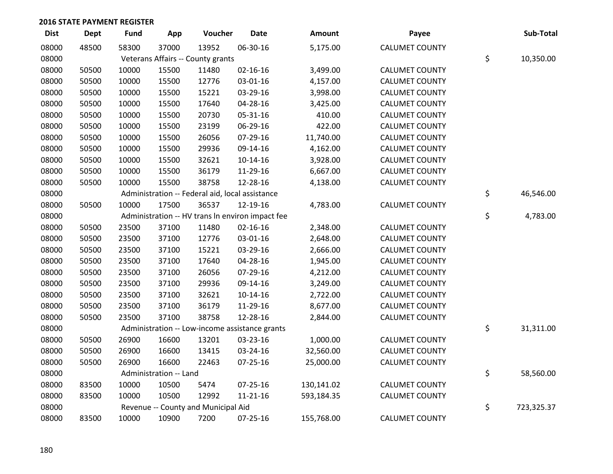| <b>Dist</b> | <b>Dept</b> | <b>Fund</b> | App                    | Voucher                                          | <b>Date</b>    | Amount     | Payee                 | Sub-Total        |
|-------------|-------------|-------------|------------------------|--------------------------------------------------|----------------|------------|-----------------------|------------------|
| 08000       | 48500       | 58300       | 37000                  | 13952                                            | 06-30-16       | 5,175.00   | <b>CALUMET COUNTY</b> |                  |
| 08000       |             |             |                        | Veterans Affairs -- County grants                |                |            |                       | \$<br>10,350.00  |
| 08000       | 50500       | 10000       | 15500                  | 11480                                            | $02 - 16 - 16$ | 3,499.00   | <b>CALUMET COUNTY</b> |                  |
| 08000       | 50500       | 10000       | 15500                  | 12776                                            | 03-01-16       | 4,157.00   | <b>CALUMET COUNTY</b> |                  |
| 08000       | 50500       | 10000       | 15500                  | 15221                                            | 03-29-16       | 3,998.00   | <b>CALUMET COUNTY</b> |                  |
| 08000       | 50500       | 10000       | 15500                  | 17640                                            | 04-28-16       | 3,425.00   | <b>CALUMET COUNTY</b> |                  |
| 08000       | 50500       | 10000       | 15500                  | 20730                                            | 05-31-16       | 410.00     | <b>CALUMET COUNTY</b> |                  |
| 08000       | 50500       | 10000       | 15500                  | 23199                                            | 06-29-16       | 422.00     | <b>CALUMET COUNTY</b> |                  |
| 08000       | 50500       | 10000       | 15500                  | 26056                                            | 07-29-16       | 11,740.00  | <b>CALUMET COUNTY</b> |                  |
| 08000       | 50500       | 10000       | 15500                  | 29936                                            | 09-14-16       | 4,162.00   | <b>CALUMET COUNTY</b> |                  |
| 08000       | 50500       | 10000       | 15500                  | 32621                                            | $10-14-16$     | 3,928.00   | <b>CALUMET COUNTY</b> |                  |
| 08000       | 50500       | 10000       | 15500                  | 36179                                            | 11-29-16       | 6,667.00   | <b>CALUMET COUNTY</b> |                  |
| 08000       | 50500       | 10000       | 15500                  | 38758                                            | 12-28-16       | 4,138.00   | <b>CALUMET COUNTY</b> |                  |
| 08000       |             |             |                        | Administration -- Federal aid, local assistance  |                |            |                       | \$<br>46,546.00  |
| 08000       | 50500       | 10000       | 17500                  | 36537                                            | 12-19-16       | 4,783.00   | <b>CALUMET COUNTY</b> |                  |
| 08000       |             |             |                        | Administration -- HV trans In environ impact fee |                |            |                       | \$<br>4,783.00   |
| 08000       | 50500       | 23500       | 37100                  | 11480                                            | $02 - 16 - 16$ | 2,348.00   | <b>CALUMET COUNTY</b> |                  |
| 08000       | 50500       | 23500       | 37100                  | 12776                                            | 03-01-16       | 2,648.00   | <b>CALUMET COUNTY</b> |                  |
| 08000       | 50500       | 23500       | 37100                  | 15221                                            | 03-29-16       | 2,666.00   | <b>CALUMET COUNTY</b> |                  |
| 08000       | 50500       | 23500       | 37100                  | 17640                                            | 04-28-16       | 1,945.00   | <b>CALUMET COUNTY</b> |                  |
| 08000       | 50500       | 23500       | 37100                  | 26056                                            | 07-29-16       | 4,212.00   | <b>CALUMET COUNTY</b> |                  |
| 08000       | 50500       | 23500       | 37100                  | 29936                                            | 09-14-16       | 3,249.00   | <b>CALUMET COUNTY</b> |                  |
| 08000       | 50500       | 23500       | 37100                  | 32621                                            | $10-14-16$     | 2,722.00   | <b>CALUMET COUNTY</b> |                  |
| 08000       | 50500       | 23500       | 37100                  | 36179                                            | 11-29-16       | 8,677.00   | <b>CALUMET COUNTY</b> |                  |
| 08000       | 50500       | 23500       | 37100                  | 38758                                            | 12-28-16       | 2,844.00   | <b>CALUMET COUNTY</b> |                  |
| 08000       |             |             |                        | Administration -- Low-income assistance grants   |                |            |                       | \$<br>31,311.00  |
| 08000       | 50500       | 26900       | 16600                  | 13201                                            | 03-23-16       | 1,000.00   | <b>CALUMET COUNTY</b> |                  |
| 08000       | 50500       | 26900       | 16600                  | 13415                                            | 03-24-16       | 32,560.00  | <b>CALUMET COUNTY</b> |                  |
| 08000       | 50500       | 26900       | 16600                  | 22463                                            | 07-25-16       | 25,000.00  | <b>CALUMET COUNTY</b> |                  |
| 08000       |             |             | Administration -- Land |                                                  |                |            |                       | \$<br>58,560.00  |
| 08000       | 83500       | 10000       | 10500                  | 5474                                             | $07 - 25 - 16$ | 130,141.02 | <b>CALUMET COUNTY</b> |                  |
| 08000       | 83500       | 10000       | 10500                  | 12992                                            | $11 - 21 - 16$ | 593,184.35 | <b>CALUMET COUNTY</b> |                  |
| 08000       |             |             |                        | Revenue -- County and Municipal Aid              |                |            |                       | \$<br>723,325.37 |
| 08000       | 83500       | 10000       | 10900                  | 7200                                             | 07-25-16       | 155,768.00 | <b>CALUMET COUNTY</b> |                  |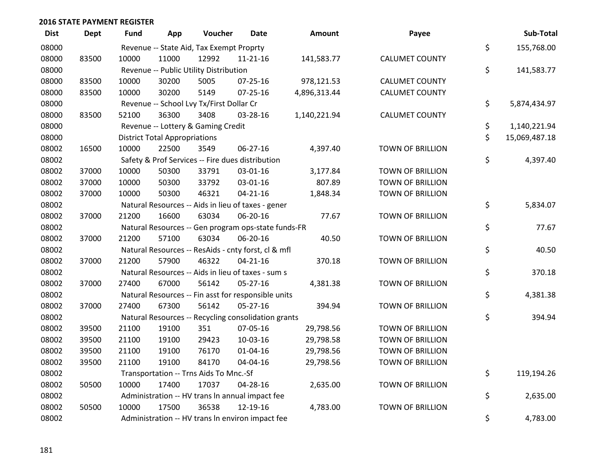| <b>Dist</b> | <b>Dept</b> | <b>Fund</b> | App                                  | Voucher                                             | Date           | <b>Amount</b> | Payee                   | Sub-Total           |
|-------------|-------------|-------------|--------------------------------------|-----------------------------------------------------|----------------|---------------|-------------------------|---------------------|
| 08000       |             |             |                                      | Revenue -- State Aid, Tax Exempt Proprty            |                |               |                         | \$<br>155,768.00    |
| 08000       | 83500       | 10000       | 11000                                | 12992                                               | $11 - 21 - 16$ | 141,583.77    | <b>CALUMET COUNTY</b>   |                     |
| 08000       |             |             |                                      | Revenue -- Public Utility Distribution              |                |               |                         | \$<br>141,583.77    |
| 08000       | 83500       | 10000       | 30200                                | 5005                                                | $07 - 25 - 16$ | 978,121.53    | <b>CALUMET COUNTY</b>   |                     |
| 08000       | 83500       | 10000       | 30200                                | 5149                                                | $07 - 25 - 16$ | 4,896,313.44  | <b>CALUMET COUNTY</b>   |                     |
| 08000       |             |             |                                      | Revenue -- School Lvy Tx/First Dollar Cr            |                |               |                         | \$<br>5,874,434.97  |
| 08000       | 83500       | 52100       | 36300                                | 3408                                                | 03-28-16       | 1,140,221.94  | <b>CALUMET COUNTY</b>   |                     |
| 08000       |             |             |                                      | Revenue -- Lottery & Gaming Credit                  |                |               |                         | \$<br>1,140,221.94  |
| 08000       |             |             | <b>District Total Appropriations</b> |                                                     |                |               |                         | \$<br>15,069,487.18 |
| 08002       | 16500       | 10000       | 22500                                | 3549                                                | 06-27-16       | 4,397.40      | <b>TOWN OF BRILLION</b> |                     |
| 08002       |             |             |                                      | Safety & Prof Services -- Fire dues distribution    |                |               |                         | \$<br>4,397.40      |
| 08002       | 37000       | 10000       | 50300                                | 33791                                               | 03-01-16       | 3,177.84      | <b>TOWN OF BRILLION</b> |                     |
| 08002       | 37000       | 10000       | 50300                                | 33792                                               | 03-01-16       | 807.89        | <b>TOWN OF BRILLION</b> |                     |
| 08002       | 37000       | 10000       | 50300                                | 46321                                               | $04 - 21 - 16$ | 1,848.34      | <b>TOWN OF BRILLION</b> |                     |
| 08002       |             |             |                                      | Natural Resources -- Aids in lieu of taxes - gener  |                |               |                         | \$<br>5,834.07      |
| 08002       | 37000       | 21200       | 16600                                | 63034                                               | 06-20-16       | 77.67         | <b>TOWN OF BRILLION</b> |                     |
| 08002       |             |             |                                      | Natural Resources -- Gen program ops-state funds-FR |                |               |                         | \$<br>77.67         |
| 08002       | 37000       | 21200       | 57100                                | 63034                                               | 06-20-16       | 40.50         | <b>TOWN OF BRILLION</b> |                     |
| 08002       |             |             |                                      | Natural Resources -- ResAids - cnty forst, cl & mfl |                |               |                         | \$<br>40.50         |
| 08002       | 37000       | 21200       | 57900                                | 46322                                               | $04 - 21 - 16$ | 370.18        | <b>TOWN OF BRILLION</b> |                     |
| 08002       |             |             |                                      | Natural Resources -- Aids in lieu of taxes - sum s  |                |               |                         | \$<br>370.18        |
| 08002       | 37000       | 27400       | 67000                                | 56142                                               | $05 - 27 - 16$ | 4,381.38      | <b>TOWN OF BRILLION</b> |                     |
| 08002       |             |             |                                      | Natural Resources -- Fin asst for responsible units |                |               |                         | \$<br>4,381.38      |
| 08002       | 37000       | 27400       | 67300                                | 56142                                               | 05-27-16       | 394.94        | <b>TOWN OF BRILLION</b> |                     |
| 08002       |             |             |                                      | Natural Resources -- Recycling consolidation grants |                |               |                         | \$<br>394.94        |
| 08002       | 39500       | 21100       | 19100                                | 351                                                 | 07-05-16       | 29,798.56     | <b>TOWN OF BRILLION</b> |                     |
| 08002       | 39500       | 21100       | 19100                                | 29423                                               | 10-03-16       | 29,798.58     | <b>TOWN OF BRILLION</b> |                     |
| 08002       | 39500       | 21100       | 19100                                | 76170                                               | $01 - 04 - 16$ | 29,798.56     | <b>TOWN OF BRILLION</b> |                     |
| 08002       | 39500       | 21100       | 19100                                | 84170                                               | 04-04-16       | 29,798.56     | <b>TOWN OF BRILLION</b> |                     |
| 08002       |             |             |                                      | Transportation -- Trns Aids To Mnc.-Sf              |                |               |                         | \$<br>119,194.26    |
| 08002       | 50500       | 10000       | 17400                                | 17037                                               | 04-28-16       | 2,635.00      | <b>TOWN OF BRILLION</b> |                     |
| 08002       |             |             |                                      | Administration -- HV trans In annual impact fee     |                |               |                         | \$<br>2,635.00      |
| 08002       | 50500       | 10000       | 17500                                | 36538                                               | 12-19-16       | 4,783.00      | <b>TOWN OF BRILLION</b> |                     |
| 08002       |             |             |                                      | Administration -- HV trans In environ impact fee    |                |               |                         | \$<br>4,783.00      |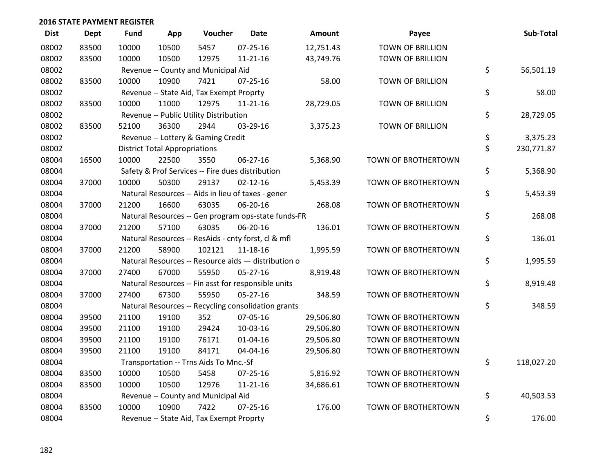| <b>Dist</b> | <b>Dept</b> | <b>Fund</b> | App                                  | Voucher                                          | <b>Date</b>                                         | <b>Amount</b> | Payee                   | Sub-Total        |
|-------------|-------------|-------------|--------------------------------------|--------------------------------------------------|-----------------------------------------------------|---------------|-------------------------|------------------|
| 08002       | 83500       | 10000       | 10500                                | 5457                                             | $07 - 25 - 16$                                      | 12,751.43     | <b>TOWN OF BRILLION</b> |                  |
| 08002       | 83500       | 10000       | 10500                                | 12975                                            | $11 - 21 - 16$                                      | 43,749.76     | <b>TOWN OF BRILLION</b> |                  |
| 08002       |             |             |                                      | Revenue -- County and Municipal Aid              |                                                     |               |                         | \$<br>56,501.19  |
| 08002       | 83500       | 10000       | 10900                                | 7421                                             | $07 - 25 - 16$                                      | 58.00         | <b>TOWN OF BRILLION</b> |                  |
| 08002       |             |             |                                      | Revenue -- State Aid, Tax Exempt Proprty         |                                                     |               |                         | \$<br>58.00      |
| 08002       | 83500       | 10000       | 11000                                | 12975                                            | $11 - 21 - 16$                                      | 28,729.05     | <b>TOWN OF BRILLION</b> |                  |
| 08002       |             |             |                                      | Revenue -- Public Utility Distribution           |                                                     |               |                         | \$<br>28,729.05  |
| 08002       | 83500       | 52100       | 36300                                | 2944                                             | 03-29-16                                            | 3,375.23      | <b>TOWN OF BRILLION</b> |                  |
| 08002       |             |             |                                      | Revenue -- Lottery & Gaming Credit               |                                                     |               |                         | \$<br>3,375.23   |
| 08002       |             |             | <b>District Total Appropriations</b> |                                                  |                                                     |               |                         | \$<br>230,771.87 |
| 08004       | 16500       | 10000       | 22500                                | 3550                                             | 06-27-16                                            | 5,368.90      | TOWN OF BROTHERTOWN     |                  |
| 08004       |             |             |                                      | Safety & Prof Services -- Fire dues distribution |                                                     |               |                         | \$<br>5,368.90   |
| 08004       | 37000       | 10000       | 50300                                | 29137                                            | $02 - 12 - 16$                                      | 5,453.39      | TOWN OF BROTHERTOWN     |                  |
| 08004       |             |             |                                      |                                                  | Natural Resources -- Aids in lieu of taxes - gener  |               |                         | \$<br>5,453.39   |
| 08004       | 37000       | 21200       | 16600                                | 63035                                            | 06-20-16                                            | 268.08        | TOWN OF BROTHERTOWN     |                  |
| 08004       |             |             |                                      |                                                  | Natural Resources -- Gen program ops-state funds-FR |               |                         | \$<br>268.08     |
| 08004       | 37000       | 21200       | 57100                                | 63035                                            | 06-20-16                                            | 136.01        | TOWN OF BROTHERTOWN     |                  |
| 08004       |             |             |                                      |                                                  | Natural Resources -- ResAids - cnty forst, cl & mfl |               |                         | \$<br>136.01     |
| 08004       | 37000       | 21200       | 58900                                | 102121                                           | 11-18-16                                            | 1,995.59      | TOWN OF BROTHERTOWN     |                  |
| 08004       |             |             |                                      |                                                  | Natural Resources -- Resource aids - distribution o |               |                         | \$<br>1,995.59   |
| 08004       | 37000       | 27400       | 67000                                | 55950                                            | $05 - 27 - 16$                                      | 8,919.48      | TOWN OF BROTHERTOWN     |                  |
| 08004       |             |             |                                      |                                                  | Natural Resources -- Fin asst for responsible units |               |                         | \$<br>8,919.48   |
| 08004       | 37000       | 27400       | 67300                                | 55950                                            | 05-27-16                                            | 348.59        | TOWN OF BROTHERTOWN     |                  |
| 08004       |             |             |                                      |                                                  | Natural Resources -- Recycling consolidation grants |               |                         | \$<br>348.59     |
| 08004       | 39500       | 21100       | 19100                                | 352                                              | 07-05-16                                            | 29,506.80     | TOWN OF BROTHERTOWN     |                  |
| 08004       | 39500       | 21100       | 19100                                | 29424                                            | 10-03-16                                            | 29,506.80     | TOWN OF BROTHERTOWN     |                  |
| 08004       | 39500       | 21100       | 19100                                | 76171                                            | $01 - 04 - 16$                                      | 29,506.80     | TOWN OF BROTHERTOWN     |                  |
| 08004       | 39500       | 21100       | 19100                                | 84171                                            | 04-04-16                                            | 29,506.80     | TOWN OF BROTHERTOWN     |                  |
| 08004       |             |             |                                      | Transportation -- Trns Aids To Mnc.-Sf           |                                                     |               |                         | \$<br>118,027.20 |
| 08004       | 83500       | 10000       | 10500                                | 5458                                             | 07-25-16                                            | 5,816.92      | TOWN OF BROTHERTOWN     |                  |
| 08004       | 83500       | 10000       | 10500                                | 12976                                            | $11 - 21 - 16$                                      | 34,686.61     | TOWN OF BROTHERTOWN     |                  |
| 08004       |             |             |                                      | Revenue -- County and Municipal Aid              |                                                     |               |                         | \$<br>40,503.53  |
| 08004       | 83500       | 10000       | 10900                                | 7422                                             | $07 - 25 - 16$                                      | 176.00        | TOWN OF BROTHERTOWN     |                  |
| 08004       |             |             |                                      | Revenue -- State Aid, Tax Exempt Proprty         |                                                     |               |                         | \$<br>176.00     |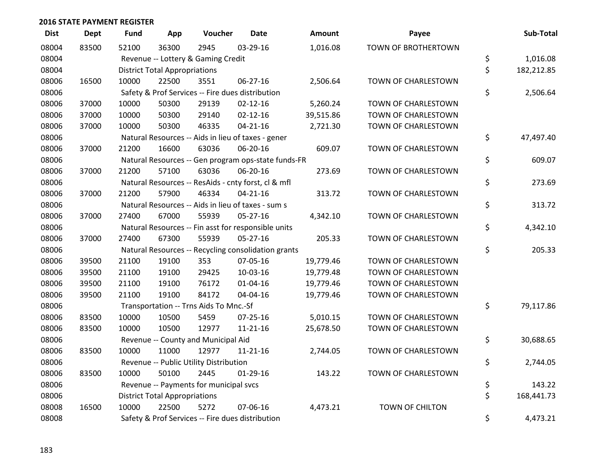| <b>Dist</b> | <b>Dept</b> | Fund  | App                                  | Voucher                                             | <b>Date</b>    | Amount    | Payee                  | Sub-Total        |
|-------------|-------------|-------|--------------------------------------|-----------------------------------------------------|----------------|-----------|------------------------|------------------|
| 08004       | 83500       | 52100 | 36300                                | 2945                                                | 03-29-16       | 1,016.08  | TOWN OF BROTHERTOWN    |                  |
| 08004       |             |       |                                      | Revenue -- Lottery & Gaming Credit                  |                |           |                        | \$<br>1,016.08   |
| 08004       |             |       | <b>District Total Appropriations</b> |                                                     |                |           |                        | \$<br>182,212.85 |
| 08006       | 16500       | 10000 | 22500                                | 3551                                                | 06-27-16       | 2,506.64  | TOWN OF CHARLESTOWN    |                  |
| 08006       |             |       |                                      | Safety & Prof Services -- Fire dues distribution    |                |           |                        | \$<br>2,506.64   |
| 08006       | 37000       | 10000 | 50300                                | 29139                                               | $02 - 12 - 16$ | 5,260.24  | TOWN OF CHARLESTOWN    |                  |
| 08006       | 37000       | 10000 | 50300                                | 29140                                               | $02 - 12 - 16$ | 39,515.86 | TOWN OF CHARLESTOWN    |                  |
| 08006       | 37000       | 10000 | 50300                                | 46335                                               | $04 - 21 - 16$ | 2,721.30  | TOWN OF CHARLESTOWN    |                  |
| 08006       |             |       |                                      | Natural Resources -- Aids in lieu of taxes - gener  |                |           |                        | \$<br>47,497.40  |
| 08006       | 37000       | 21200 | 16600                                | 63036                                               | 06-20-16       | 609.07    | TOWN OF CHARLESTOWN    |                  |
| 08006       |             |       |                                      | Natural Resources -- Gen program ops-state funds-FR |                |           |                        | \$<br>609.07     |
| 08006       | 37000       | 21200 | 57100                                | 63036                                               | 06-20-16       | 273.69    | TOWN OF CHARLESTOWN    |                  |
| 08006       |             |       |                                      | Natural Resources -- ResAids - cnty forst, cl & mfl |                |           |                        | \$<br>273.69     |
| 08006       | 37000       | 21200 | 57900                                | 46334                                               | $04 - 21 - 16$ | 313.72    | TOWN OF CHARLESTOWN    |                  |
| 08006       |             |       |                                      | Natural Resources -- Aids in lieu of taxes - sum s  |                |           |                        | \$<br>313.72     |
| 08006       | 37000       | 27400 | 67000                                | 55939                                               | 05-27-16       | 4,342.10  | TOWN OF CHARLESTOWN    |                  |
| 08006       |             |       |                                      | Natural Resources -- Fin asst for responsible units |                |           |                        | \$<br>4,342.10   |
| 08006       | 37000       | 27400 | 67300                                | 55939                                               | 05-27-16       | 205.33    | TOWN OF CHARLESTOWN    |                  |
| 08006       |             |       |                                      | Natural Resources -- Recycling consolidation grants |                |           |                        | \$<br>205.33     |
| 08006       | 39500       | 21100 | 19100                                | 353                                                 | 07-05-16       | 19,779.46 | TOWN OF CHARLESTOWN    |                  |
| 08006       | 39500       | 21100 | 19100                                | 29425                                               | 10-03-16       | 19,779.48 | TOWN OF CHARLESTOWN    |                  |
| 08006       | 39500       | 21100 | 19100                                | 76172                                               | $01 - 04 - 16$ | 19,779.46 | TOWN OF CHARLESTOWN    |                  |
| 08006       | 39500       | 21100 | 19100                                | 84172                                               | 04-04-16       | 19,779.46 | TOWN OF CHARLESTOWN    |                  |
| 08006       |             |       |                                      | Transportation -- Trns Aids To Mnc.-Sf              |                |           |                        | \$<br>79,117.86  |
| 08006       | 83500       | 10000 | 10500                                | 5459                                                | $07 - 25 - 16$ | 5,010.15  | TOWN OF CHARLESTOWN    |                  |
| 08006       | 83500       | 10000 | 10500                                | 12977                                               | $11 - 21 - 16$ | 25,678.50 | TOWN OF CHARLESTOWN    |                  |
| 08006       |             |       |                                      | Revenue -- County and Municipal Aid                 |                |           |                        | \$<br>30,688.65  |
| 08006       | 83500       | 10000 | 11000                                | 12977                                               | $11 - 21 - 16$ | 2,744.05  | TOWN OF CHARLESTOWN    |                  |
| 08006       |             |       |                                      | Revenue -- Public Utility Distribution              |                |           |                        | \$<br>2,744.05   |
| 08006       | 83500       | 10000 | 50100                                | 2445                                                | $01-29-16$     | 143.22    | TOWN OF CHARLESTOWN    |                  |
| 08006       |             |       |                                      | Revenue -- Payments for municipal svcs              |                |           |                        | \$<br>143.22     |
| 08006       |             |       | <b>District Total Appropriations</b> |                                                     |                |           |                        | \$<br>168,441.73 |
| 08008       | 16500       | 10000 | 22500                                | 5272                                                | 07-06-16       | 4,473.21  | <b>TOWN OF CHILTON</b> |                  |
| 08008       |             |       |                                      | Safety & Prof Services -- Fire dues distribution    |                |           |                        | \$<br>4,473.21   |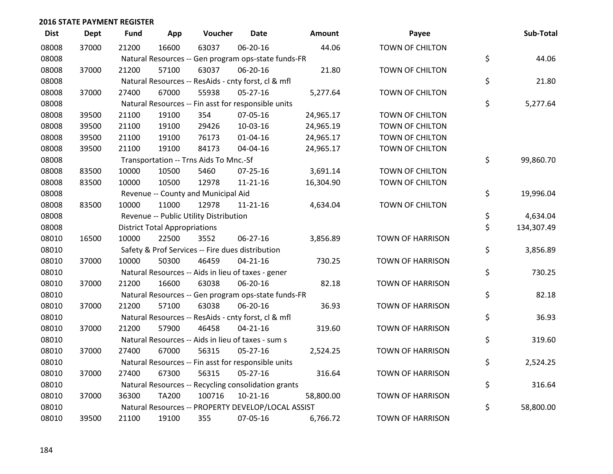| <b>Dist</b> | <b>Dept</b> | <b>Fund</b> | App                                  | Voucher                                             | <b>Date</b>    | <b>Amount</b> | Payee                   | Sub-Total        |
|-------------|-------------|-------------|--------------------------------------|-----------------------------------------------------|----------------|---------------|-------------------------|------------------|
| 08008       | 37000       | 21200       | 16600                                | 63037                                               | 06-20-16       | 44.06         | <b>TOWN OF CHILTON</b>  |                  |
| 08008       |             |             |                                      | Natural Resources -- Gen program ops-state funds-FR |                |               |                         | \$<br>44.06      |
| 08008       | 37000       | 21200       | 57100                                | 63037                                               | 06-20-16       | 21.80         | <b>TOWN OF CHILTON</b>  |                  |
| 08008       |             |             |                                      | Natural Resources -- ResAids - cnty forst, cl & mfl |                |               |                         | \$<br>21.80      |
| 08008       | 37000       | 27400       | 67000                                | 55938                                               | $05 - 27 - 16$ | 5,277.64      | TOWN OF CHILTON         |                  |
| 08008       |             |             |                                      | Natural Resources -- Fin asst for responsible units |                |               |                         | \$<br>5,277.64   |
| 08008       | 39500       | 21100       | 19100                                | 354                                                 | 07-05-16       | 24,965.17     | TOWN OF CHILTON         |                  |
| 08008       | 39500       | 21100       | 19100                                | 29426                                               | 10-03-16       | 24,965.19     | <b>TOWN OF CHILTON</b>  |                  |
| 08008       | 39500       | 21100       | 19100                                | 76173                                               | $01 - 04 - 16$ | 24,965.17     | TOWN OF CHILTON         |                  |
| 08008       | 39500       | 21100       | 19100                                | 84173                                               | 04-04-16       | 24,965.17     | TOWN OF CHILTON         |                  |
| 08008       |             |             |                                      | Transportation -- Trns Aids To Mnc.-Sf              |                |               |                         | \$<br>99,860.70  |
| 08008       | 83500       | 10000       | 10500                                | 5460                                                | $07 - 25 - 16$ | 3,691.14      | <b>TOWN OF CHILTON</b>  |                  |
| 08008       | 83500       | 10000       | 10500                                | 12978                                               | $11 - 21 - 16$ | 16,304.90     | TOWN OF CHILTON         |                  |
| 08008       |             |             |                                      | Revenue -- County and Municipal Aid                 |                |               |                         | \$<br>19,996.04  |
| 08008       | 83500       | 10000       | 11000                                | 12978                                               | $11 - 21 - 16$ | 4,634.04      | <b>TOWN OF CHILTON</b>  |                  |
| 08008       |             |             |                                      | Revenue -- Public Utility Distribution              |                |               |                         | \$<br>4,634.04   |
| 08008       |             |             | <b>District Total Appropriations</b> |                                                     |                |               |                         | \$<br>134,307.49 |
| 08010       | 16500       | 10000       | 22500                                | 3552                                                | 06-27-16       | 3,856.89      | <b>TOWN OF HARRISON</b> |                  |
| 08010       |             |             |                                      | Safety & Prof Services -- Fire dues distribution    |                |               |                         | \$<br>3,856.89   |
| 08010       | 37000       | 10000       | 50300                                | 46459                                               | $04 - 21 - 16$ | 730.25        | <b>TOWN OF HARRISON</b> |                  |
| 08010       |             |             |                                      | Natural Resources -- Aids in lieu of taxes - gener  |                |               |                         | \$<br>730.25     |
| 08010       | 37000       | 21200       | 16600                                | 63038                                               | 06-20-16       | 82.18         | <b>TOWN OF HARRISON</b> |                  |
| 08010       |             |             |                                      | Natural Resources -- Gen program ops-state funds-FR |                |               |                         | \$<br>82.18      |
| 08010       | 37000       | 21200       | 57100                                | 63038                                               | 06-20-16       | 36.93         | <b>TOWN OF HARRISON</b> |                  |
| 08010       |             |             |                                      | Natural Resources -- ResAids - cnty forst, cl & mfl |                |               |                         | \$<br>36.93      |
| 08010       | 37000       | 21200       | 57900                                | 46458                                               | $04 - 21 - 16$ | 319.60        | <b>TOWN OF HARRISON</b> |                  |
| 08010       |             |             |                                      | Natural Resources -- Aids in lieu of taxes - sum s  |                |               |                         | \$<br>319.60     |
| 08010       | 37000       | 27400       | 67000                                | 56315                                               | $05 - 27 - 16$ | 2,524.25      | <b>TOWN OF HARRISON</b> |                  |
| 08010       |             |             |                                      | Natural Resources -- Fin asst for responsible units |                |               |                         | \$<br>2,524.25   |
| 08010       | 37000       | 27400       | 67300                                | 56315                                               | $05 - 27 - 16$ | 316.64        | <b>TOWN OF HARRISON</b> |                  |
| 08010       |             |             |                                      | Natural Resources -- Recycling consolidation grants |                |               |                         | \$<br>316.64     |
| 08010       | 37000       | 36300       | <b>TA200</b>                         | 100716                                              | $10-21-16$     | 58,800.00     | <b>TOWN OF HARRISON</b> |                  |
| 08010       |             |             |                                      | Natural Resources -- PROPERTY DEVELOP/LOCAL ASSIST  |                |               |                         | \$<br>58,800.00  |
| 08010       | 39500       | 21100       | 19100                                | 355                                                 | 07-05-16       | 6,766.72      | <b>TOWN OF HARRISON</b> |                  |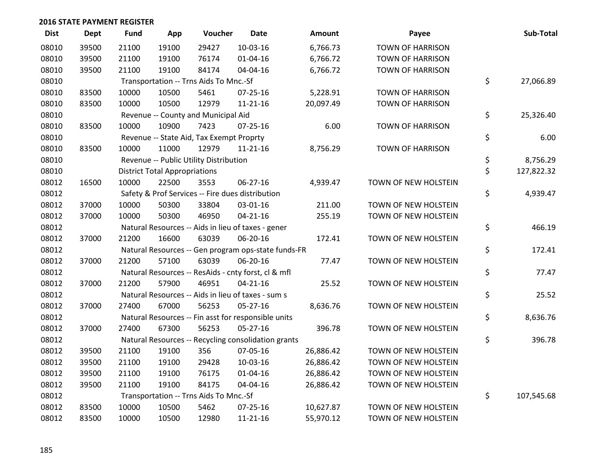| <b>Dist</b> | Dept  | <b>Fund</b> | App                                  | Voucher                                  | Date                                                | Amount    | Payee                   | Sub-Total        |
|-------------|-------|-------------|--------------------------------------|------------------------------------------|-----------------------------------------------------|-----------|-------------------------|------------------|
| 08010       | 39500 | 21100       | 19100                                | 29427                                    | 10-03-16                                            | 6,766.73  | <b>TOWN OF HARRISON</b> |                  |
| 08010       | 39500 | 21100       | 19100                                | 76174                                    | 01-04-16                                            | 6,766.72  | <b>TOWN OF HARRISON</b> |                  |
| 08010       | 39500 | 21100       | 19100                                | 84174                                    | 04-04-16                                            | 6,766.72  | <b>TOWN OF HARRISON</b> |                  |
| 08010       |       |             |                                      | Transportation -- Trns Aids To Mnc.-Sf   |                                                     |           |                         | \$<br>27,066.89  |
| 08010       | 83500 | 10000       | 10500                                | 5461                                     | $07 - 25 - 16$                                      | 5,228.91  | <b>TOWN OF HARRISON</b> |                  |
| 08010       | 83500 | 10000       | 10500                                | 12979                                    | $11 - 21 - 16$                                      | 20,097.49 | <b>TOWN OF HARRISON</b> |                  |
| 08010       |       |             |                                      | Revenue -- County and Municipal Aid      |                                                     |           |                         | \$<br>25,326.40  |
| 08010       | 83500 | 10000       | 10900                                | 7423                                     | $07 - 25 - 16$                                      | 6.00      | <b>TOWN OF HARRISON</b> |                  |
| 08010       |       |             |                                      | Revenue -- State Aid, Tax Exempt Proprty |                                                     |           |                         | \$<br>6.00       |
| 08010       | 83500 | 10000       | 11000                                | 12979                                    | $11 - 21 - 16$                                      | 8,756.29  | TOWN OF HARRISON        |                  |
| 08010       |       |             |                                      | Revenue -- Public Utility Distribution   |                                                     |           |                         | \$<br>8,756.29   |
| 08010       |       |             | <b>District Total Appropriations</b> |                                          |                                                     |           |                         | \$<br>127,822.32 |
| 08012       | 16500 | 10000       | 22500                                | 3553                                     | 06-27-16                                            | 4,939.47  | TOWN OF NEW HOLSTEIN    |                  |
| 08012       |       |             |                                      |                                          | Safety & Prof Services -- Fire dues distribution    |           |                         | \$<br>4,939.47   |
| 08012       | 37000 | 10000       | 50300                                | 33804                                    | 03-01-16                                            | 211.00    | TOWN OF NEW HOLSTEIN    |                  |
| 08012       | 37000 | 10000       | 50300                                | 46950                                    | $04 - 21 - 16$                                      | 255.19    | TOWN OF NEW HOLSTEIN    |                  |
| 08012       |       |             |                                      |                                          | Natural Resources -- Aids in lieu of taxes - gener  |           |                         | \$<br>466.19     |
| 08012       | 37000 | 21200       | 16600                                | 63039                                    | 06-20-16                                            | 172.41    | TOWN OF NEW HOLSTEIN    |                  |
| 08012       |       |             |                                      |                                          | Natural Resources -- Gen program ops-state funds-FR |           |                         | \$<br>172.41     |
| 08012       | 37000 | 21200       | 57100                                | 63039                                    | 06-20-16                                            | 77.47     | TOWN OF NEW HOLSTEIN    |                  |
| 08012       |       |             |                                      |                                          | Natural Resources -- ResAids - cnty forst, cl & mfl |           |                         | \$<br>77.47      |
| 08012       | 37000 | 21200       | 57900                                | 46951                                    | $04 - 21 - 16$                                      | 25.52     | TOWN OF NEW HOLSTEIN    |                  |
| 08012       |       |             |                                      |                                          | Natural Resources -- Aids in lieu of taxes - sum s  |           |                         | \$<br>25.52      |
| 08012       | 37000 | 27400       | 67000                                | 56253                                    | $05 - 27 - 16$                                      | 8,636.76  | TOWN OF NEW HOLSTEIN    |                  |
| 08012       |       |             |                                      |                                          | Natural Resources -- Fin asst for responsible units |           |                         | \$<br>8,636.76   |
| 08012       | 37000 | 27400       | 67300                                | 56253                                    | $05 - 27 - 16$                                      | 396.78    | TOWN OF NEW HOLSTEIN    |                  |
| 08012       |       |             |                                      |                                          | Natural Resources -- Recycling consolidation grants |           |                         | \$<br>396.78     |
| 08012       | 39500 | 21100       | 19100                                | 356                                      | 07-05-16                                            | 26,886.42 | TOWN OF NEW HOLSTEIN    |                  |
| 08012       | 39500 | 21100       | 19100                                | 29428                                    | 10-03-16                                            | 26,886.42 | TOWN OF NEW HOLSTEIN    |                  |
| 08012       | 39500 | 21100       | 19100                                | 76175                                    | 01-04-16                                            | 26,886.42 | TOWN OF NEW HOLSTEIN    |                  |
| 08012       | 39500 | 21100       | 19100                                | 84175                                    | 04-04-16                                            | 26,886.42 | TOWN OF NEW HOLSTEIN    |                  |
| 08012       |       |             |                                      | Transportation -- Trns Aids To Mnc.-Sf   |                                                     |           |                         | \$<br>107,545.68 |
| 08012       | 83500 | 10000       | 10500                                | 5462                                     | 07-25-16                                            | 10,627.87 | TOWN OF NEW HOLSTEIN    |                  |
| 08012       | 83500 | 10000       | 10500                                | 12980                                    | $11 - 21 - 16$                                      | 55,970.12 | TOWN OF NEW HOLSTEIN    |                  |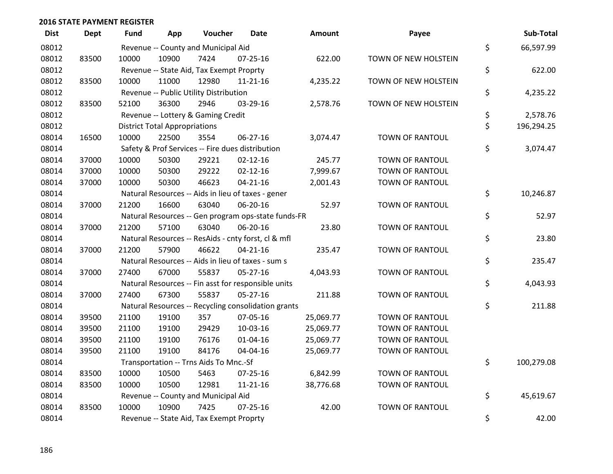| <b>Dist</b> | <b>Dept</b> | <b>Fund</b> | App                                  | Voucher                                             | <b>Date</b>    | Amount    | Payee                  | Sub-Total        |
|-------------|-------------|-------------|--------------------------------------|-----------------------------------------------------|----------------|-----------|------------------------|------------------|
| 08012       |             |             |                                      | Revenue -- County and Municipal Aid                 |                |           |                        | \$<br>66,597.99  |
| 08012       | 83500       | 10000       | 10900                                | 7424                                                | $07 - 25 - 16$ | 622.00    | TOWN OF NEW HOLSTEIN   |                  |
| 08012       |             |             |                                      | Revenue -- State Aid, Tax Exempt Proprty            |                |           |                        | \$<br>622.00     |
| 08012       | 83500       | 10000       | 11000                                | 12980                                               | $11 - 21 - 16$ | 4,235.22  | TOWN OF NEW HOLSTEIN   |                  |
| 08012       |             |             |                                      | Revenue -- Public Utility Distribution              |                |           |                        | \$<br>4,235.22   |
| 08012       | 83500       | 52100       | 36300                                | 2946                                                | 03-29-16       | 2,578.76  | TOWN OF NEW HOLSTEIN   |                  |
| 08012       |             |             |                                      | Revenue -- Lottery & Gaming Credit                  |                |           |                        | \$<br>2,578.76   |
| 08012       |             |             | <b>District Total Appropriations</b> |                                                     |                |           |                        | \$<br>196,294.25 |
| 08014       | 16500       | 10000       | 22500                                | 3554                                                | 06-27-16       | 3,074.47  | TOWN OF RANTOUL        |                  |
| 08014       |             |             |                                      | Safety & Prof Services -- Fire dues distribution    |                |           |                        | \$<br>3,074.47   |
| 08014       | 37000       | 10000       | 50300                                | 29221                                               | $02 - 12 - 16$ | 245.77    | TOWN OF RANTOUL        |                  |
| 08014       | 37000       | 10000       | 50300                                | 29222                                               | $02 - 12 - 16$ | 7,999.67  | TOWN OF RANTOUL        |                  |
| 08014       | 37000       | 10000       | 50300                                | 46623                                               | $04 - 21 - 16$ | 2,001.43  | TOWN OF RANTOUL        |                  |
| 08014       |             |             |                                      | Natural Resources -- Aids in lieu of taxes - gener  |                |           |                        | \$<br>10,246.87  |
| 08014       | 37000       | 21200       | 16600                                | 63040                                               | 06-20-16       | 52.97     | TOWN OF RANTOUL        |                  |
| 08014       |             |             |                                      | Natural Resources -- Gen program ops-state funds-FR |                |           |                        | \$<br>52.97      |
| 08014       | 37000       | 21200       | 57100                                | 63040                                               | 06-20-16       | 23.80     | <b>TOWN OF RANTOUL</b> |                  |
| 08014       |             |             |                                      | Natural Resources -- ResAids - cnty forst, cl & mfl |                |           |                        | \$<br>23.80      |
| 08014       | 37000       | 21200       | 57900                                | 46622                                               | $04 - 21 - 16$ | 235.47    | TOWN OF RANTOUL        |                  |
| 08014       |             |             |                                      | Natural Resources -- Aids in lieu of taxes - sum s  |                |           |                        | \$<br>235.47     |
| 08014       | 37000       | 27400       | 67000                                | 55837                                               | 05-27-16       | 4,043.93  | <b>TOWN OF RANTOUL</b> |                  |
| 08014       |             |             |                                      | Natural Resources -- Fin asst for responsible units |                |           |                        | \$<br>4,043.93   |
| 08014       | 37000       | 27400       | 67300                                | 55837                                               | $05 - 27 - 16$ | 211.88    | TOWN OF RANTOUL        |                  |
| 08014       |             |             |                                      | Natural Resources -- Recycling consolidation grants |                |           |                        | \$<br>211.88     |
| 08014       | 39500       | 21100       | 19100                                | 357                                                 | 07-05-16       | 25,069.77 | <b>TOWN OF RANTOUL</b> |                  |
| 08014       | 39500       | 21100       | 19100                                | 29429                                               | 10-03-16       | 25,069.77 | <b>TOWN OF RANTOUL</b> |                  |
| 08014       | 39500       | 21100       | 19100                                | 76176                                               | $01 - 04 - 16$ | 25,069.77 | TOWN OF RANTOUL        |                  |
| 08014       | 39500       | 21100       | 19100                                | 84176                                               | 04-04-16       | 25,069.77 | TOWN OF RANTOUL        |                  |
| 08014       |             |             |                                      | Transportation -- Trns Aids To Mnc.-Sf              |                |           |                        | \$<br>100,279.08 |
| 08014       | 83500       | 10000       | 10500                                | 5463                                                | $07 - 25 - 16$ | 6,842.99  | <b>TOWN OF RANTOUL</b> |                  |
| 08014       | 83500       | 10000       | 10500                                | 12981                                               | $11 - 21 - 16$ | 38,776.68 | TOWN OF RANTOUL        |                  |
| 08014       |             |             |                                      | Revenue -- County and Municipal Aid                 |                |           |                        | \$<br>45,619.67  |
| 08014       | 83500       | 10000       | 10900                                | 7425                                                | $07 - 25 - 16$ | 42.00     | <b>TOWN OF RANTOUL</b> |                  |
| 08014       |             |             |                                      | Revenue -- State Aid, Tax Exempt Proprty            |                |           |                        | \$<br>42.00      |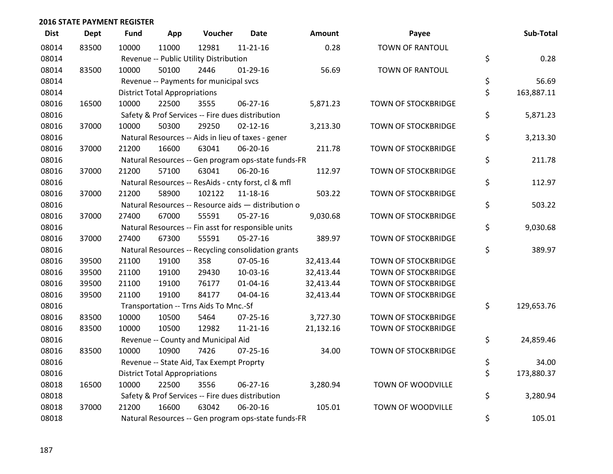| <b>Dist</b> | <b>Dept</b> | <b>Fund</b> | App                                  | Voucher                                             | <b>Date</b>    | Amount    | Payee                      | Sub-Total        |
|-------------|-------------|-------------|--------------------------------------|-----------------------------------------------------|----------------|-----------|----------------------------|------------------|
| 08014       | 83500       | 10000       | 11000                                | 12981                                               | $11 - 21 - 16$ | 0.28      | <b>TOWN OF RANTOUL</b>     |                  |
| 08014       |             |             |                                      | Revenue -- Public Utility Distribution              |                |           |                            | \$<br>0.28       |
| 08014       | 83500       | 10000       | 50100                                | 2446                                                | $01-29-16$     | 56.69     | <b>TOWN OF RANTOUL</b>     |                  |
| 08014       |             |             |                                      | Revenue -- Payments for municipal svcs              |                |           |                            | \$<br>56.69      |
| 08014       |             |             | <b>District Total Appropriations</b> |                                                     |                |           |                            | \$<br>163,887.11 |
| 08016       | 16500       | 10000       | 22500                                | 3555                                                | 06-27-16       | 5,871.23  | <b>TOWN OF STOCKBRIDGE</b> |                  |
| 08016       |             |             |                                      | Safety & Prof Services -- Fire dues distribution    |                |           |                            | \$<br>5,871.23   |
| 08016       | 37000       | 10000       | 50300                                | 29250                                               | $02 - 12 - 16$ | 3,213.30  | <b>TOWN OF STOCKBRIDGE</b> |                  |
| 08016       |             |             |                                      | Natural Resources -- Aids in lieu of taxes - gener  |                |           |                            | \$<br>3,213.30   |
| 08016       | 37000       | 21200       | 16600                                | 63041                                               | 06-20-16       | 211.78    | <b>TOWN OF STOCKBRIDGE</b> |                  |
| 08016       |             |             |                                      | Natural Resources -- Gen program ops-state funds-FR |                |           |                            | \$<br>211.78     |
| 08016       | 37000       | 21200       | 57100                                | 63041                                               | 06-20-16       | 112.97    | <b>TOWN OF STOCKBRIDGE</b> |                  |
| 08016       |             |             |                                      | Natural Resources -- ResAids - cnty forst, cl & mfl |                |           |                            | \$<br>112.97     |
| 08016       | 37000       | 21200       | 58900                                | 102122                                              | 11-18-16       | 503.22    | <b>TOWN OF STOCKBRIDGE</b> |                  |
| 08016       |             |             |                                      | Natural Resources -- Resource aids - distribution o |                |           |                            | \$<br>503.22     |
| 08016       | 37000       | 27400       | 67000                                | 55591                                               | 05-27-16       | 9,030.68  | <b>TOWN OF STOCKBRIDGE</b> |                  |
| 08016       |             |             |                                      | Natural Resources -- Fin asst for responsible units |                |           |                            | \$<br>9,030.68   |
| 08016       | 37000       | 27400       | 67300                                | 55591                                               | $05 - 27 - 16$ | 389.97    | TOWN OF STOCKBRIDGE        |                  |
| 08016       |             |             |                                      | Natural Resources -- Recycling consolidation grants |                |           |                            | \$<br>389.97     |
| 08016       | 39500       | 21100       | 19100                                | 358                                                 | 07-05-16       | 32,413.44 | TOWN OF STOCKBRIDGE        |                  |
| 08016       | 39500       | 21100       | 19100                                | 29430                                               | 10-03-16       | 32,413.44 | <b>TOWN OF STOCKBRIDGE</b> |                  |
| 08016       | 39500       | 21100       | 19100                                | 76177                                               | $01 - 04 - 16$ | 32,413.44 | TOWN OF STOCKBRIDGE        |                  |
| 08016       | 39500       | 21100       | 19100                                | 84177                                               | 04-04-16       | 32,413.44 | <b>TOWN OF STOCKBRIDGE</b> |                  |
| 08016       |             |             |                                      | Transportation -- Trns Aids To Mnc.-Sf              |                |           |                            | \$<br>129,653.76 |
| 08016       | 83500       | 10000       | 10500                                | 5464                                                | $07 - 25 - 16$ | 3,727.30  | TOWN OF STOCKBRIDGE        |                  |
| 08016       | 83500       | 10000       | 10500                                | 12982                                               | $11 - 21 - 16$ | 21,132.16 | TOWN OF STOCKBRIDGE        |                  |
| 08016       |             |             |                                      | Revenue -- County and Municipal Aid                 |                |           |                            | \$<br>24,859.46  |
| 08016       | 83500       | 10000       | 10900                                | 7426                                                | $07 - 25 - 16$ | 34.00     | <b>TOWN OF STOCKBRIDGE</b> |                  |
| 08016       |             |             |                                      | Revenue -- State Aid, Tax Exempt Proprty            |                |           |                            | \$<br>34.00      |
| 08016       |             |             | <b>District Total Appropriations</b> |                                                     |                |           |                            | \$<br>173,880.37 |
| 08018       | 16500       | 10000       | 22500                                | 3556                                                | $06 - 27 - 16$ | 3,280.94  | TOWN OF WOODVILLE          |                  |
| 08018       |             |             |                                      | Safety & Prof Services -- Fire dues distribution    |                |           |                            | \$<br>3,280.94   |
| 08018       | 37000       | 21200       | 16600                                | 63042                                               | 06-20-16       | 105.01    | TOWN OF WOODVILLE          |                  |
| 08018       |             |             |                                      | Natural Resources -- Gen program ops-state funds-FR |                |           |                            | \$<br>105.01     |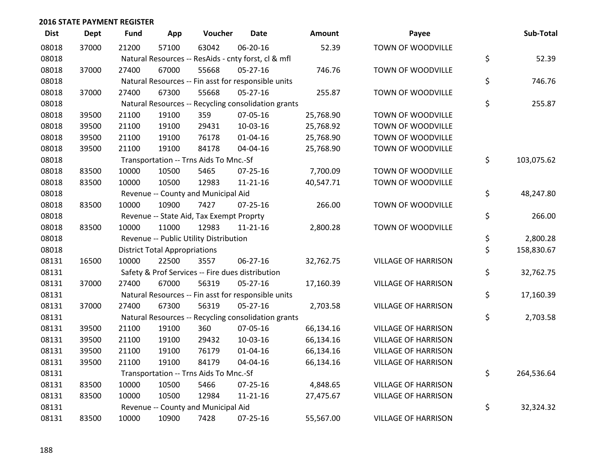| <b>Dist</b> | <b>Dept</b> | <b>Fund</b> | App                                  | Voucher                                             | <b>Date</b>    | Amount    | Payee                      | Sub-Total        |
|-------------|-------------|-------------|--------------------------------------|-----------------------------------------------------|----------------|-----------|----------------------------|------------------|
| 08018       | 37000       | 21200       | 57100                                | 63042                                               | 06-20-16       | 52.39     | TOWN OF WOODVILLE          |                  |
| 08018       |             |             |                                      | Natural Resources -- ResAids - cnty forst, cl & mfl |                |           |                            | \$<br>52.39      |
| 08018       | 37000       | 27400       | 67000                                | 55668                                               | 05-27-16       | 746.76    | TOWN OF WOODVILLE          |                  |
| 08018       |             |             |                                      | Natural Resources -- Fin asst for responsible units |                |           |                            | \$<br>746.76     |
| 08018       | 37000       | 27400       | 67300                                | 55668                                               | $05 - 27 - 16$ | 255.87    | TOWN OF WOODVILLE          |                  |
| 08018       |             |             |                                      | Natural Resources -- Recycling consolidation grants |                |           |                            | \$<br>255.87     |
| 08018       | 39500       | 21100       | 19100                                | 359                                                 | 07-05-16       | 25,768.90 | TOWN OF WOODVILLE          |                  |
| 08018       | 39500       | 21100       | 19100                                | 29431                                               | 10-03-16       | 25,768.92 | TOWN OF WOODVILLE          |                  |
| 08018       | 39500       | 21100       | 19100                                | 76178                                               | $01 - 04 - 16$ | 25,768.90 | TOWN OF WOODVILLE          |                  |
| 08018       | 39500       | 21100       | 19100                                | 84178                                               | 04-04-16       | 25,768.90 | TOWN OF WOODVILLE          |                  |
| 08018       |             |             |                                      | Transportation -- Trns Aids To Mnc.-Sf              |                |           |                            | \$<br>103,075.62 |
| 08018       | 83500       | 10000       | 10500                                | 5465                                                | $07 - 25 - 16$ | 7,700.09  | TOWN OF WOODVILLE          |                  |
| 08018       | 83500       | 10000       | 10500                                | 12983                                               | $11 - 21 - 16$ | 40,547.71 | TOWN OF WOODVILLE          |                  |
| 08018       |             |             |                                      | Revenue -- County and Municipal Aid                 |                |           |                            | \$<br>48,247.80  |
| 08018       | 83500       | 10000       | 10900                                | 7427                                                | $07 - 25 - 16$ | 266.00    | TOWN OF WOODVILLE          |                  |
| 08018       |             |             |                                      | Revenue -- State Aid, Tax Exempt Proprty            |                |           |                            | \$<br>266.00     |
| 08018       | 83500       | 10000       | 11000                                | 12983                                               | $11 - 21 - 16$ | 2,800.28  | TOWN OF WOODVILLE          |                  |
| 08018       |             |             |                                      | Revenue -- Public Utility Distribution              |                |           |                            | \$<br>2,800.28   |
| 08018       |             |             | <b>District Total Appropriations</b> |                                                     |                |           |                            | \$<br>158,830.67 |
| 08131       | 16500       | 10000       | 22500                                | 3557                                                | 06-27-16       | 32,762.75 | <b>VILLAGE OF HARRISON</b> |                  |
| 08131       |             |             |                                      | Safety & Prof Services -- Fire dues distribution    |                |           |                            | \$<br>32,762.75  |
| 08131       | 37000       | 27400       | 67000                                | 56319                                               | $05 - 27 - 16$ | 17,160.39 | <b>VILLAGE OF HARRISON</b> |                  |
| 08131       |             |             |                                      | Natural Resources -- Fin asst for responsible units |                |           |                            | \$<br>17,160.39  |
| 08131       | 37000       | 27400       | 67300                                | 56319                                               | $05 - 27 - 16$ | 2,703.58  | <b>VILLAGE OF HARRISON</b> |                  |
| 08131       |             |             |                                      | Natural Resources -- Recycling consolidation grants |                |           |                            | \$<br>2,703.58   |
| 08131       | 39500       | 21100       | 19100                                | 360                                                 | 07-05-16       | 66,134.16 | <b>VILLAGE OF HARRISON</b> |                  |
| 08131       | 39500       | 21100       | 19100                                | 29432                                               | 10-03-16       | 66,134.16 | <b>VILLAGE OF HARRISON</b> |                  |
| 08131       | 39500       | 21100       | 19100                                | 76179                                               | 01-04-16       | 66,134.16 | <b>VILLAGE OF HARRISON</b> |                  |
| 08131       | 39500       | 21100       | 19100                                | 84179                                               | 04-04-16       | 66,134.16 | <b>VILLAGE OF HARRISON</b> |                  |
| 08131       |             |             |                                      | Transportation -- Trns Aids To Mnc.-Sf              |                |           |                            | \$<br>264,536.64 |
| 08131       | 83500       | 10000       | 10500                                | 5466                                                | $07 - 25 - 16$ | 4,848.65  | <b>VILLAGE OF HARRISON</b> |                  |
| 08131       | 83500       | 10000       | 10500                                | 12984                                               | $11 - 21 - 16$ | 27,475.67 | <b>VILLAGE OF HARRISON</b> |                  |
| 08131       |             |             |                                      | Revenue -- County and Municipal Aid                 |                |           |                            | \$<br>32,324.32  |
| 08131       | 83500       | 10000       | 10900                                | 7428                                                | 07-25-16       | 55,567.00 | <b>VILLAGE OF HARRISON</b> |                  |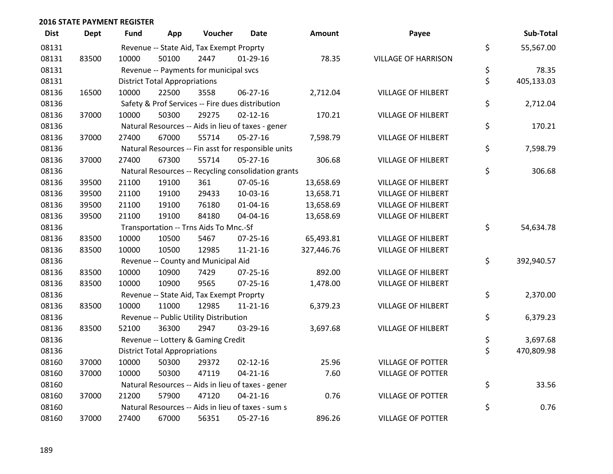| <b>Dist</b> | <b>Dept</b> | <b>Fund</b> | App                                  | Voucher                                             | Date           | <b>Amount</b> | Payee                      | Sub-Total        |
|-------------|-------------|-------------|--------------------------------------|-----------------------------------------------------|----------------|---------------|----------------------------|------------------|
| 08131       |             |             |                                      | Revenue -- State Aid, Tax Exempt Proprty            |                |               |                            | \$<br>55,567.00  |
| 08131       | 83500       | 10000       | 50100                                | 2447                                                | $01-29-16$     | 78.35         | <b>VILLAGE OF HARRISON</b> |                  |
| 08131       |             |             |                                      | Revenue -- Payments for municipal svcs              |                |               |                            | \$<br>78.35      |
| 08131       |             |             | <b>District Total Appropriations</b> |                                                     |                |               |                            | \$<br>405,133.03 |
| 08136       | 16500       | 10000       | 22500                                | 3558                                                | 06-27-16       | 2,712.04      | <b>VILLAGE OF HILBERT</b>  |                  |
| 08136       |             |             |                                      | Safety & Prof Services -- Fire dues distribution    |                |               |                            | \$<br>2,712.04   |
| 08136       | 37000       | 10000       | 50300                                | 29275                                               | $02 - 12 - 16$ | 170.21        | <b>VILLAGE OF HILBERT</b>  |                  |
| 08136       |             |             |                                      | Natural Resources -- Aids in lieu of taxes - gener  |                |               |                            | \$<br>170.21     |
| 08136       | 37000       | 27400       | 67000                                | 55714                                               | $05 - 27 - 16$ | 7,598.79      | <b>VILLAGE OF HILBERT</b>  |                  |
| 08136       |             |             |                                      | Natural Resources -- Fin asst for responsible units |                |               |                            | \$<br>7,598.79   |
| 08136       | 37000       | 27400       | 67300                                | 55714                                               | $05 - 27 - 16$ | 306.68        | <b>VILLAGE OF HILBERT</b>  |                  |
| 08136       |             |             |                                      | Natural Resources -- Recycling consolidation grants |                |               |                            | \$<br>306.68     |
| 08136       | 39500       | 21100       | 19100                                | 361                                                 | 07-05-16       | 13,658.69     | <b>VILLAGE OF HILBERT</b>  |                  |
| 08136       | 39500       | 21100       | 19100                                | 29433                                               | 10-03-16       | 13,658.71     | <b>VILLAGE OF HILBERT</b>  |                  |
| 08136       | 39500       | 21100       | 19100                                | 76180                                               | $01 - 04 - 16$ | 13,658.69     | <b>VILLAGE OF HILBERT</b>  |                  |
| 08136       | 39500       | 21100       | 19100                                | 84180                                               | 04-04-16       | 13,658.69     | <b>VILLAGE OF HILBERT</b>  |                  |
| 08136       |             |             |                                      | Transportation -- Trns Aids To Mnc.-Sf              |                |               |                            | \$<br>54,634.78  |
| 08136       | 83500       | 10000       | 10500                                | 5467                                                | $07 - 25 - 16$ | 65,493.81     | <b>VILLAGE OF HILBERT</b>  |                  |
| 08136       | 83500       | 10000       | 10500                                | 12985                                               | $11 - 21 - 16$ | 327,446.76    | <b>VILLAGE OF HILBERT</b>  |                  |
| 08136       |             |             |                                      | Revenue -- County and Municipal Aid                 |                |               |                            | \$<br>392,940.57 |
| 08136       | 83500       | 10000       | 10900                                | 7429                                                | $07 - 25 - 16$ | 892.00        | <b>VILLAGE OF HILBERT</b>  |                  |
| 08136       | 83500       | 10000       | 10900                                | 9565                                                | $07 - 25 - 16$ | 1,478.00      | <b>VILLAGE OF HILBERT</b>  |                  |
| 08136       |             |             |                                      | Revenue -- State Aid, Tax Exempt Proprty            |                |               |                            | \$<br>2,370.00   |
| 08136       | 83500       | 10000       | 11000                                | 12985                                               | $11 - 21 - 16$ | 6,379.23      | <b>VILLAGE OF HILBERT</b>  |                  |
| 08136       |             |             |                                      | Revenue -- Public Utility Distribution              |                |               |                            | \$<br>6,379.23   |
| 08136       | 83500       | 52100       | 36300                                | 2947                                                | 03-29-16       | 3,697.68      | <b>VILLAGE OF HILBERT</b>  |                  |
| 08136       |             |             |                                      | Revenue -- Lottery & Gaming Credit                  |                |               |                            | \$<br>3,697.68   |
| 08136       |             |             | <b>District Total Appropriations</b> |                                                     |                |               |                            | \$<br>470,809.98 |
| 08160       | 37000       | 10000       | 50300                                | 29372                                               | $02 - 12 - 16$ | 25.96         | <b>VILLAGE OF POTTER</b>   |                  |
| 08160       | 37000       | 10000       | 50300                                | 47119                                               | $04 - 21 - 16$ | 7.60          | <b>VILLAGE OF POTTER</b>   |                  |
| 08160       |             |             |                                      | Natural Resources -- Aids in lieu of taxes - gener  |                |               |                            | \$<br>33.56      |
| 08160       | 37000       | 21200       | 57900                                | 47120                                               | $04 - 21 - 16$ | 0.76          | <b>VILLAGE OF POTTER</b>   |                  |
| 08160       |             |             |                                      | Natural Resources -- Aids in lieu of taxes - sum s  |                |               |                            | \$<br>0.76       |
| 08160       | 37000       | 27400       | 67000                                | 56351                                               | 05-27-16       | 896.26        | <b>VILLAGE OF POTTER</b>   |                  |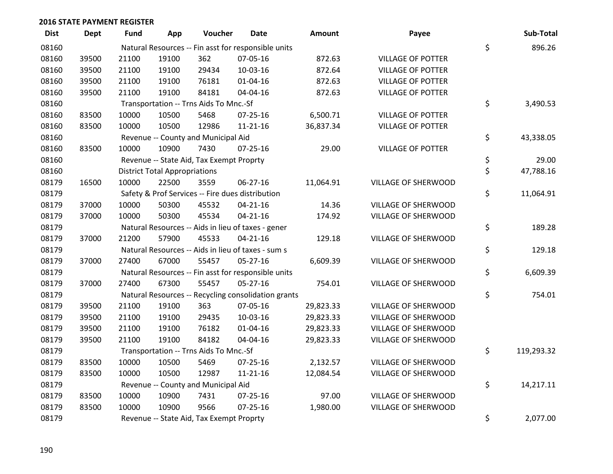| <b>Dist</b> | <b>Dept</b> | Fund  | App                                  | Voucher                                             | <b>Date</b>    | <b>Amount</b> | Payee                      | Sub-Total        |
|-------------|-------------|-------|--------------------------------------|-----------------------------------------------------|----------------|---------------|----------------------------|------------------|
| 08160       |             |       |                                      | Natural Resources -- Fin asst for responsible units |                |               |                            | \$<br>896.26     |
| 08160       | 39500       | 21100 | 19100                                | 362                                                 | 07-05-16       | 872.63        | <b>VILLAGE OF POTTER</b>   |                  |
| 08160       | 39500       | 21100 | 19100                                | 29434                                               | 10-03-16       | 872.64        | <b>VILLAGE OF POTTER</b>   |                  |
| 08160       | 39500       | 21100 | 19100                                | 76181                                               | $01 - 04 - 16$ | 872.63        | <b>VILLAGE OF POTTER</b>   |                  |
| 08160       | 39500       | 21100 | 19100                                | 84181                                               | 04-04-16       | 872.63        | <b>VILLAGE OF POTTER</b>   |                  |
| 08160       |             |       |                                      | Transportation -- Trns Aids To Mnc.-Sf              |                |               |                            | \$<br>3,490.53   |
| 08160       | 83500       | 10000 | 10500                                | 5468                                                | $07 - 25 - 16$ | 6,500.71      | <b>VILLAGE OF POTTER</b>   |                  |
| 08160       | 83500       | 10000 | 10500                                | 12986                                               | $11 - 21 - 16$ | 36,837.34     | <b>VILLAGE OF POTTER</b>   |                  |
| 08160       |             |       |                                      | Revenue -- County and Municipal Aid                 |                |               |                            | \$<br>43,338.05  |
| 08160       | 83500       | 10000 | 10900                                | 7430                                                | $07 - 25 - 16$ | 29.00         | <b>VILLAGE OF POTTER</b>   |                  |
| 08160       |             |       |                                      | Revenue -- State Aid, Tax Exempt Proprty            |                |               |                            | \$<br>29.00      |
| 08160       |             |       | <b>District Total Appropriations</b> |                                                     |                |               |                            | \$<br>47,788.16  |
| 08179       | 16500       | 10000 | 22500                                | 3559                                                | 06-27-16       | 11,064.91     | VILLAGE OF SHERWOOD        |                  |
| 08179       |             |       |                                      | Safety & Prof Services -- Fire dues distribution    |                |               |                            | \$<br>11,064.91  |
| 08179       | 37000       | 10000 | 50300                                | 45532                                               | $04 - 21 - 16$ | 14.36         | VILLAGE OF SHERWOOD        |                  |
| 08179       | 37000       | 10000 | 50300                                | 45534                                               | $04 - 21 - 16$ | 174.92        | VILLAGE OF SHERWOOD        |                  |
| 08179       |             |       |                                      | Natural Resources -- Aids in lieu of taxes - gener  |                |               |                            | \$<br>189.28     |
| 08179       | 37000       | 21200 | 57900                                | 45533                                               | $04 - 21 - 16$ | 129.18        | <b>VILLAGE OF SHERWOOD</b> |                  |
| 08179       |             |       |                                      | Natural Resources -- Aids in lieu of taxes - sum s  |                |               |                            | \$<br>129.18     |
| 08179       | 37000       | 27400 | 67000                                | 55457                                               | 05-27-16       | 6,609.39      | VILLAGE OF SHERWOOD        |                  |
| 08179       |             |       |                                      | Natural Resources -- Fin asst for responsible units |                |               |                            | \$<br>6,609.39   |
| 08179       | 37000       | 27400 | 67300                                | 55457                                               | $05 - 27 - 16$ | 754.01        | VILLAGE OF SHERWOOD        |                  |
| 08179       |             |       |                                      | Natural Resources -- Recycling consolidation grants |                |               |                            | \$<br>754.01     |
| 08179       | 39500       | 21100 | 19100                                | 363                                                 | 07-05-16       | 29,823.33     | VILLAGE OF SHERWOOD        |                  |
| 08179       | 39500       | 21100 | 19100                                | 29435                                               | 10-03-16       | 29,823.33     | VILLAGE OF SHERWOOD        |                  |
| 08179       | 39500       | 21100 | 19100                                | 76182                                               | $01 - 04 - 16$ | 29,823.33     | VILLAGE OF SHERWOOD        |                  |
| 08179       | 39500       | 21100 | 19100                                | 84182                                               | 04-04-16       | 29,823.33     | VILLAGE OF SHERWOOD        |                  |
| 08179       |             |       |                                      | Transportation -- Trns Aids To Mnc.-Sf              |                |               |                            | \$<br>119,293.32 |
| 08179       | 83500       | 10000 | 10500                                | 5469                                                | $07 - 25 - 16$ | 2,132.57      | <b>VILLAGE OF SHERWOOD</b> |                  |
| 08179       | 83500       | 10000 | 10500                                | 12987                                               | $11 - 21 - 16$ | 12,084.54     | VILLAGE OF SHERWOOD        |                  |
| 08179       |             |       |                                      | Revenue -- County and Municipal Aid                 |                |               |                            | \$<br>14,217.11  |
| 08179       | 83500       | 10000 | 10900                                | 7431                                                | $07 - 25 - 16$ | 97.00         | VILLAGE OF SHERWOOD        |                  |
| 08179       | 83500       | 10000 | 10900                                | 9566                                                | $07 - 25 - 16$ | 1,980.00      | VILLAGE OF SHERWOOD        |                  |
| 08179       |             |       |                                      | Revenue -- State Aid, Tax Exempt Proprty            |                |               |                            | \$<br>2,077.00   |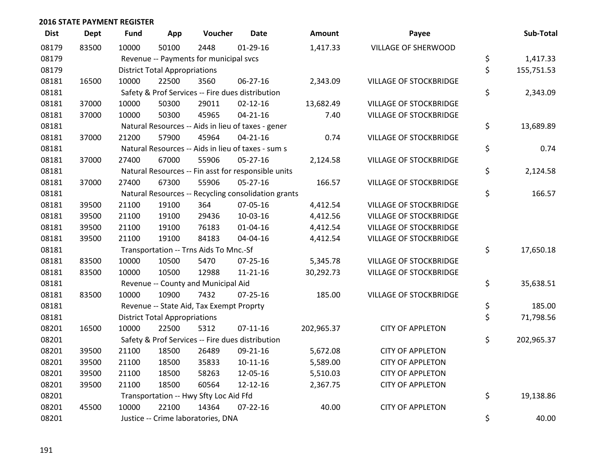| <b>Dist</b> | <b>Dept</b> | <b>Fund</b> | App                                  | Voucher                                             | <b>Date</b>    | <b>Amount</b> | Payee                         | Sub-Total        |
|-------------|-------------|-------------|--------------------------------------|-----------------------------------------------------|----------------|---------------|-------------------------------|------------------|
| 08179       | 83500       | 10000       | 50100                                | 2448                                                | $01-29-16$     | 1,417.33      | VILLAGE OF SHERWOOD           |                  |
| 08179       |             |             |                                      | Revenue -- Payments for municipal svcs              |                |               |                               | \$<br>1,417.33   |
| 08179       |             |             | <b>District Total Appropriations</b> |                                                     |                |               |                               | \$<br>155,751.53 |
| 08181       | 16500       | 10000       | 22500                                | 3560                                                | 06-27-16       | 2,343.09      | VILLAGE OF STOCKBRIDGE        |                  |
| 08181       |             |             |                                      | Safety & Prof Services -- Fire dues distribution    |                |               |                               | \$<br>2,343.09   |
| 08181       | 37000       | 10000       | 50300                                | 29011                                               | $02 - 12 - 16$ | 13,682.49     | <b>VILLAGE OF STOCKBRIDGE</b> |                  |
| 08181       | 37000       | 10000       | 50300                                | 45965                                               | $04 - 21 - 16$ | 7.40          | <b>VILLAGE OF STOCKBRIDGE</b> |                  |
| 08181       |             |             |                                      | Natural Resources -- Aids in lieu of taxes - gener  |                |               |                               | \$<br>13,689.89  |
| 08181       | 37000       | 21200       | 57900                                | 45964                                               | $04 - 21 - 16$ | 0.74          | VILLAGE OF STOCKBRIDGE        |                  |
| 08181       |             |             |                                      | Natural Resources -- Aids in lieu of taxes - sum s  |                |               |                               | \$<br>0.74       |
| 08181       | 37000       | 27400       | 67000                                | 55906                                               | $05 - 27 - 16$ | 2,124.58      | VILLAGE OF STOCKBRIDGE        |                  |
| 08181       |             |             |                                      | Natural Resources -- Fin asst for responsible units |                |               |                               | \$<br>2,124.58   |
| 08181       | 37000       | 27400       | 67300                                | 55906                                               | $05 - 27 - 16$ | 166.57        | VILLAGE OF STOCKBRIDGE        |                  |
| 08181       |             |             |                                      | Natural Resources -- Recycling consolidation grants |                |               |                               | \$<br>166.57     |
| 08181       | 39500       | 21100       | 19100                                | 364                                                 | 07-05-16       | 4,412.54      | <b>VILLAGE OF STOCKBRIDGE</b> |                  |
| 08181       | 39500       | 21100       | 19100                                | 29436                                               | 10-03-16       | 4,412.56      | <b>VILLAGE OF STOCKBRIDGE</b> |                  |
| 08181       | 39500       | 21100       | 19100                                | 76183                                               | $01 - 04 - 16$ | 4,412.54      | VILLAGE OF STOCKBRIDGE        |                  |
| 08181       | 39500       | 21100       | 19100                                | 84183                                               | 04-04-16       | 4,412.54      | VILLAGE OF STOCKBRIDGE        |                  |
| 08181       |             |             |                                      | Transportation -- Trns Aids To Mnc.-Sf              |                |               |                               | \$<br>17,650.18  |
| 08181       | 83500       | 10000       | 10500                                | 5470                                                | $07 - 25 - 16$ | 5,345.78      | <b>VILLAGE OF STOCKBRIDGE</b> |                  |
| 08181       | 83500       | 10000       | 10500                                | 12988                                               | $11 - 21 - 16$ | 30,292.73     | <b>VILLAGE OF STOCKBRIDGE</b> |                  |
| 08181       |             |             |                                      | Revenue -- County and Municipal Aid                 |                |               |                               | \$<br>35,638.51  |
| 08181       | 83500       | 10000       | 10900                                | 7432                                                | $07 - 25 - 16$ | 185.00        | <b>VILLAGE OF STOCKBRIDGE</b> |                  |
| 08181       |             |             |                                      | Revenue -- State Aid, Tax Exempt Proprty            |                |               |                               | \$<br>185.00     |
| 08181       |             |             | <b>District Total Appropriations</b> |                                                     |                |               |                               | \$<br>71,798.56  |
| 08201       | 16500       | 10000       | 22500                                | 5312                                                | $07-11-16$     | 202,965.37    | <b>CITY OF APPLETON</b>       |                  |
| 08201       |             |             |                                      | Safety & Prof Services -- Fire dues distribution    |                |               |                               | \$<br>202,965.37 |
| 08201       | 39500       | 21100       | 18500                                | 26489                                               | 09-21-16       | 5,672.08      | <b>CITY OF APPLETON</b>       |                  |
| 08201       | 39500       | 21100       | 18500                                | 35833                                               | $10 - 11 - 16$ | 5,589.00      | <b>CITY OF APPLETON</b>       |                  |
| 08201       | 39500       | 21100       | 18500                                | 58263                                               | 12-05-16       | 5,510.03      | <b>CITY OF APPLETON</b>       |                  |
| 08201       | 39500       | 21100       | 18500                                | 60564                                               | 12-12-16       | 2,367.75      | <b>CITY OF APPLETON</b>       |                  |
| 08201       |             |             |                                      | Transportation -- Hwy Sfty Loc Aid Ffd              |                |               |                               | \$<br>19,138.86  |
| 08201       | 45500       | 10000       | 22100                                | 14364                                               | $07 - 22 - 16$ | 40.00         | <b>CITY OF APPLETON</b>       |                  |
| 08201       |             |             |                                      | Justice -- Crime laboratories, DNA                  |                |               |                               | \$<br>40.00      |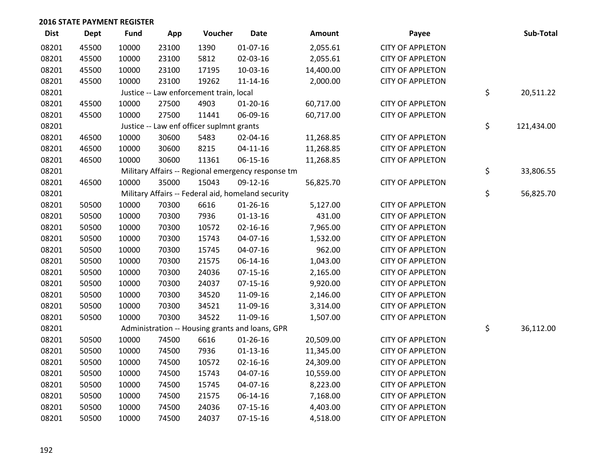| <b>Dist</b> | <b>Dept</b> | <b>Fund</b> | App   | Voucher                                            | <b>Date</b>    | Amount    | Payee                   | Sub-Total        |
|-------------|-------------|-------------|-------|----------------------------------------------------|----------------|-----------|-------------------------|------------------|
| 08201       | 45500       | 10000       | 23100 | 1390                                               | $01-07-16$     | 2,055.61  | <b>CITY OF APPLETON</b> |                  |
| 08201       | 45500       | 10000       | 23100 | 5812                                               | 02-03-16       | 2,055.61  | <b>CITY OF APPLETON</b> |                  |
| 08201       | 45500       | 10000       | 23100 | 17195                                              | 10-03-16       | 14,400.00 | <b>CITY OF APPLETON</b> |                  |
| 08201       | 45500       | 10000       | 23100 | 19262                                              | $11 - 14 - 16$ | 2,000.00  | <b>CITY OF APPLETON</b> |                  |
| 08201       |             |             |       | Justice -- Law enforcement train, local            |                |           |                         | \$<br>20,511.22  |
| 08201       | 45500       | 10000       | 27500 | 4903                                               | $01-20-16$     | 60,717.00 | <b>CITY OF APPLETON</b> |                  |
| 08201       | 45500       | 10000       | 27500 | 11441                                              | 06-09-16       | 60,717.00 | <b>CITY OF APPLETON</b> |                  |
| 08201       |             |             |       | Justice -- Law enf officer suplmnt grants          |                |           |                         | \$<br>121,434.00 |
| 08201       | 46500       | 10000       | 30600 | 5483                                               | 02-04-16       | 11,268.85 | <b>CITY OF APPLETON</b> |                  |
| 08201       | 46500       | 10000       | 30600 | 8215                                               | $04 - 11 - 16$ | 11,268.85 | <b>CITY OF APPLETON</b> |                  |
| 08201       | 46500       | 10000       | 30600 | 11361                                              | 06-15-16       | 11,268.85 | <b>CITY OF APPLETON</b> |                  |
| 08201       |             |             |       | Military Affairs -- Regional emergency response tm |                |           |                         | \$<br>33,806.55  |
| 08201       | 46500       | 10000       | 35000 | 15043                                              | 09-12-16       | 56,825.70 | <b>CITY OF APPLETON</b> |                  |
| 08201       |             |             |       | Military Affairs -- Federal aid, homeland security |                |           |                         | \$<br>56,825.70  |
| 08201       | 50500       | 10000       | 70300 | 6616                                               | $01 - 26 - 16$ | 5,127.00  | <b>CITY OF APPLETON</b> |                  |
| 08201       | 50500       | 10000       | 70300 | 7936                                               | $01-13-16$     | 431.00    | <b>CITY OF APPLETON</b> |                  |
| 08201       | 50500       | 10000       | 70300 | 10572                                              | $02 - 16 - 16$ | 7,965.00  | <b>CITY OF APPLETON</b> |                  |
| 08201       | 50500       | 10000       | 70300 | 15743                                              | 04-07-16       | 1,532.00  | <b>CITY OF APPLETON</b> |                  |
| 08201       | 50500       | 10000       | 70300 | 15745                                              | 04-07-16       | 962.00    | <b>CITY OF APPLETON</b> |                  |
| 08201       | 50500       | 10000       | 70300 | 21575                                              | 06-14-16       | 1,043.00  | <b>CITY OF APPLETON</b> |                  |
| 08201       | 50500       | 10000       | 70300 | 24036                                              | $07 - 15 - 16$ | 2,165.00  | <b>CITY OF APPLETON</b> |                  |
| 08201       | 50500       | 10000       | 70300 | 24037                                              | $07 - 15 - 16$ | 9,920.00  | <b>CITY OF APPLETON</b> |                  |
| 08201       | 50500       | 10000       | 70300 | 34520                                              | 11-09-16       | 2,146.00  | <b>CITY OF APPLETON</b> |                  |
| 08201       | 50500       | 10000       | 70300 | 34521                                              | 11-09-16       | 3,314.00  | <b>CITY OF APPLETON</b> |                  |
| 08201       | 50500       | 10000       | 70300 | 34522                                              | 11-09-16       | 1,507.00  | <b>CITY OF APPLETON</b> |                  |
| 08201       |             |             |       | Administration -- Housing grants and loans, GPR    |                |           |                         | \$<br>36,112.00  |
| 08201       | 50500       | 10000       | 74500 | 6616                                               | $01 - 26 - 16$ | 20,509.00 | <b>CITY OF APPLETON</b> |                  |
| 08201       | 50500       | 10000       | 74500 | 7936                                               | $01 - 13 - 16$ | 11,345.00 | <b>CITY OF APPLETON</b> |                  |
| 08201       | 50500       | 10000       | 74500 | 10572                                              | $02 - 16 - 16$ | 24,309.00 | <b>CITY OF APPLETON</b> |                  |
| 08201       | 50500       | 10000       | 74500 | 15743                                              | 04-07-16       | 10,559.00 | <b>CITY OF APPLETON</b> |                  |
| 08201       | 50500       | 10000       | 74500 | 15745                                              | 04-07-16       | 8,223.00  | <b>CITY OF APPLETON</b> |                  |
| 08201       | 50500       | 10000       | 74500 | 21575                                              | 06-14-16       | 7,168.00  | <b>CITY OF APPLETON</b> |                  |
| 08201       | 50500       | 10000       | 74500 | 24036                                              | $07-15-16$     | 4,403.00  | <b>CITY OF APPLETON</b> |                  |
| 08201       | 50500       | 10000       | 74500 | 24037                                              | $07-15-16$     | 4,518.00  | <b>CITY OF APPLETON</b> |                  |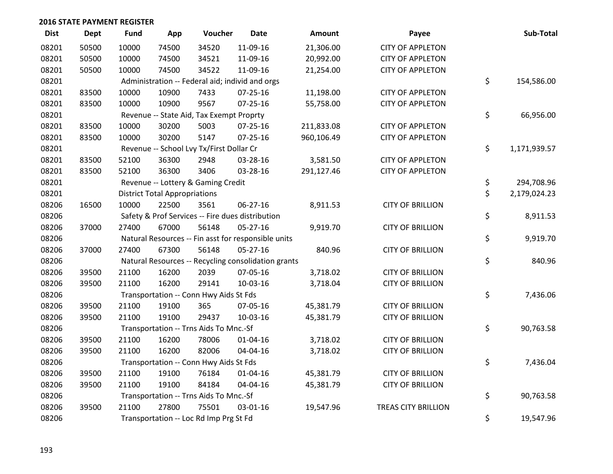| <b>Dist</b> | Dept  | <b>Fund</b> | App                                  | Voucher                                  | <b>Date</b>                                         | <b>Amount</b> | Payee                      | Sub-Total          |
|-------------|-------|-------------|--------------------------------------|------------------------------------------|-----------------------------------------------------|---------------|----------------------------|--------------------|
| 08201       | 50500 | 10000       | 74500                                | 34520                                    | 11-09-16                                            | 21,306.00     | <b>CITY OF APPLETON</b>    |                    |
| 08201       | 50500 | 10000       | 74500                                | 34521                                    | 11-09-16                                            | 20,992.00     | <b>CITY OF APPLETON</b>    |                    |
| 08201       | 50500 | 10000       | 74500                                | 34522                                    | 11-09-16                                            | 21,254.00     | <b>CITY OF APPLETON</b>    |                    |
| 08201       |       |             |                                      |                                          | Administration -- Federal aid; individ and orgs     |               |                            | \$<br>154,586.00   |
| 08201       | 83500 | 10000       | 10900                                | 7433                                     | $07 - 25 - 16$                                      | 11,198.00     | <b>CITY OF APPLETON</b>    |                    |
| 08201       | 83500 | 10000       | 10900                                | 9567                                     | $07 - 25 - 16$                                      | 55,758.00     | <b>CITY OF APPLETON</b>    |                    |
| 08201       |       |             |                                      | Revenue -- State Aid, Tax Exempt Proprty |                                                     |               |                            | \$<br>66,956.00    |
| 08201       | 83500 | 10000       | 30200                                | 5003                                     | 07-25-16                                            | 211,833.08    | <b>CITY OF APPLETON</b>    |                    |
| 08201       | 83500 | 10000       | 30200                                | 5147                                     | $07 - 25 - 16$                                      | 960,106.49    | <b>CITY OF APPLETON</b>    |                    |
| 08201       |       |             |                                      | Revenue -- School Lvy Tx/First Dollar Cr |                                                     |               |                            | \$<br>1,171,939.57 |
| 08201       | 83500 | 52100       | 36300                                | 2948                                     | 03-28-16                                            | 3,581.50      | <b>CITY OF APPLETON</b>    |                    |
| 08201       | 83500 | 52100       | 36300                                | 3406                                     | 03-28-16                                            | 291,127.46    | <b>CITY OF APPLETON</b>    |                    |
| 08201       |       |             |                                      | Revenue -- Lottery & Gaming Credit       |                                                     |               |                            | \$<br>294,708.96   |
| 08201       |       |             | <b>District Total Appropriations</b> |                                          |                                                     |               |                            | \$<br>2,179,024.23 |
| 08206       | 16500 | 10000       | 22500                                | 3561                                     | 06-27-16                                            | 8,911.53      | <b>CITY OF BRILLION</b>    |                    |
| 08206       |       |             |                                      |                                          | Safety & Prof Services -- Fire dues distribution    |               |                            | \$<br>8,911.53     |
| 08206       | 37000 | 27400       | 67000                                | 56148                                    | $05 - 27 - 16$                                      | 9,919.70      | <b>CITY OF BRILLION</b>    |                    |
| 08206       |       |             |                                      |                                          | Natural Resources -- Fin asst for responsible units |               |                            | \$<br>9,919.70     |
| 08206       | 37000 | 27400       | 67300                                | 56148                                    | $05 - 27 - 16$                                      | 840.96        | <b>CITY OF BRILLION</b>    |                    |
| 08206       |       |             |                                      |                                          | Natural Resources -- Recycling consolidation grants |               |                            | \$<br>840.96       |
| 08206       | 39500 | 21100       | 16200                                | 2039                                     | 07-05-16                                            | 3,718.02      | <b>CITY OF BRILLION</b>    |                    |
| 08206       | 39500 | 21100       | 16200                                | 29141                                    | 10-03-16                                            | 3,718.04      | <b>CITY OF BRILLION</b>    |                    |
| 08206       |       |             |                                      | Transportation -- Conn Hwy Aids St Fds   |                                                     |               |                            | \$<br>7,436.06     |
| 08206       | 39500 | 21100       | 19100                                | 365                                      | 07-05-16                                            | 45,381.79     | <b>CITY OF BRILLION</b>    |                    |
| 08206       | 39500 | 21100       | 19100                                | 29437                                    | 10-03-16                                            | 45,381.79     | <b>CITY OF BRILLION</b>    |                    |
| 08206       |       |             |                                      | Transportation -- Trns Aids To Mnc.-Sf   |                                                     |               |                            | \$<br>90,763.58    |
| 08206       | 39500 | 21100       | 16200                                | 78006                                    | $01 - 04 - 16$                                      | 3,718.02      | <b>CITY OF BRILLION</b>    |                    |
| 08206       | 39500 | 21100       | 16200                                | 82006                                    | 04-04-16                                            | 3,718.02      | <b>CITY OF BRILLION</b>    |                    |
| 08206       |       |             |                                      | Transportation -- Conn Hwy Aids St Fds   |                                                     |               |                            | \$<br>7,436.04     |
| 08206       | 39500 | 21100       | 19100                                | 76184                                    | $01 - 04 - 16$                                      | 45,381.79     | <b>CITY OF BRILLION</b>    |                    |
| 08206       | 39500 | 21100       | 19100                                | 84184                                    | 04-04-16                                            | 45,381.79     | <b>CITY OF BRILLION</b>    |                    |
| 08206       |       |             |                                      | Transportation -- Trns Aids To Mnc.-Sf   |                                                     |               |                            | \$<br>90,763.58    |
| 08206       | 39500 | 21100       | 27800                                | 75501                                    | 03-01-16                                            | 19,547.96     | <b>TREAS CITY BRILLION</b> |                    |
| 08206       |       |             |                                      | Transportation -- Loc Rd Imp Prg St Fd   |                                                     |               |                            | \$<br>19,547.96    |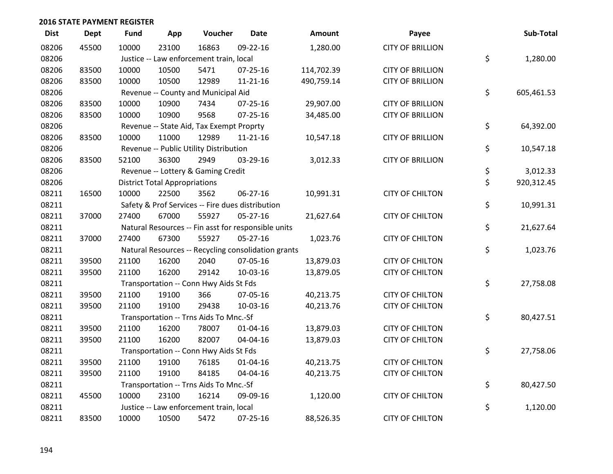| <b>Dist</b> | <b>Dept</b> | <b>Fund</b> | App                                  | Voucher                                             | <b>Date</b>    | <b>Amount</b> | Payee                   | Sub-Total        |
|-------------|-------------|-------------|--------------------------------------|-----------------------------------------------------|----------------|---------------|-------------------------|------------------|
| 08206       | 45500       | 10000       | 23100                                | 16863                                               | 09-22-16       | 1,280.00      | <b>CITY OF BRILLION</b> |                  |
| 08206       |             |             |                                      | Justice -- Law enforcement train, local             |                |               |                         | \$<br>1,280.00   |
| 08206       | 83500       | 10000       | 10500                                | 5471                                                | 07-25-16       | 114,702.39    | <b>CITY OF BRILLION</b> |                  |
| 08206       | 83500       | 10000       | 10500                                | 12989                                               | $11 - 21 - 16$ | 490,759.14    | <b>CITY OF BRILLION</b> |                  |
| 08206       |             |             |                                      | Revenue -- County and Municipal Aid                 |                |               |                         | \$<br>605,461.53 |
| 08206       | 83500       | 10000       | 10900                                | 7434                                                | $07 - 25 - 16$ | 29,907.00     | <b>CITY OF BRILLION</b> |                  |
| 08206       | 83500       | 10000       | 10900                                | 9568                                                | $07 - 25 - 16$ | 34,485.00     | <b>CITY OF BRILLION</b> |                  |
| 08206       |             |             |                                      | Revenue -- State Aid, Tax Exempt Proprty            |                |               |                         | \$<br>64,392.00  |
| 08206       | 83500       | 10000       | 11000                                | 12989                                               | 11-21-16       | 10,547.18     | <b>CITY OF BRILLION</b> |                  |
| 08206       |             |             |                                      | Revenue -- Public Utility Distribution              |                |               |                         | \$<br>10,547.18  |
| 08206       | 83500       | 52100       | 36300                                | 2949                                                | 03-29-16       | 3,012.33      | <b>CITY OF BRILLION</b> |                  |
| 08206       |             |             |                                      | Revenue -- Lottery & Gaming Credit                  |                |               |                         | \$<br>3,012.33   |
| 08206       |             |             | <b>District Total Appropriations</b> |                                                     |                |               |                         | \$<br>920,312.45 |
| 08211       | 16500       | 10000       | 22500                                | 3562                                                | 06-27-16       | 10,991.31     | <b>CITY OF CHILTON</b>  |                  |
| 08211       |             |             |                                      | Safety & Prof Services -- Fire dues distribution    |                |               |                         | \$<br>10,991.31  |
| 08211       | 37000       | 27400       | 67000                                | 55927                                               | 05-27-16       | 21,627.64     | <b>CITY OF CHILTON</b>  |                  |
| 08211       |             |             |                                      | Natural Resources -- Fin asst for responsible units |                |               |                         | \$<br>21,627.64  |
| 08211       | 37000       | 27400       | 67300                                | 55927                                               | $05 - 27 - 16$ | 1,023.76      | <b>CITY OF CHILTON</b>  |                  |
| 08211       |             |             |                                      | Natural Resources -- Recycling consolidation grants |                |               |                         | \$<br>1,023.76   |
| 08211       | 39500       | 21100       | 16200                                | 2040                                                | 07-05-16       | 13,879.03     | <b>CITY OF CHILTON</b>  |                  |
| 08211       | 39500       | 21100       | 16200                                | 29142                                               | 10-03-16       | 13,879.05     | <b>CITY OF CHILTON</b>  |                  |
| 08211       |             |             |                                      | Transportation -- Conn Hwy Aids St Fds              |                |               |                         | \$<br>27,758.08  |
| 08211       | 39500       | 21100       | 19100                                | 366                                                 | 07-05-16       | 40,213.75     | <b>CITY OF CHILTON</b>  |                  |
| 08211       | 39500       | 21100       | 19100                                | 29438                                               | 10-03-16       | 40,213.76     | <b>CITY OF CHILTON</b>  |                  |
| 08211       |             |             |                                      | Transportation -- Trns Aids To Mnc.-Sf              |                |               |                         | \$<br>80,427.51  |
| 08211       | 39500       | 21100       | 16200                                | 78007                                               | $01 - 04 - 16$ | 13,879.03     | <b>CITY OF CHILTON</b>  |                  |
| 08211       | 39500       | 21100       | 16200                                | 82007                                               | 04-04-16       | 13,879.03     | <b>CITY OF CHILTON</b>  |                  |
| 08211       |             |             |                                      | Transportation -- Conn Hwy Aids St Fds              |                |               |                         | \$<br>27,758.06  |
| 08211       | 39500       | 21100       | 19100                                | 76185                                               | $01 - 04 - 16$ | 40,213.75     | <b>CITY OF CHILTON</b>  |                  |
| 08211       | 39500       | 21100       | 19100                                | 84185                                               | 04-04-16       | 40,213.75     | <b>CITY OF CHILTON</b>  |                  |
| 08211       |             |             |                                      | Transportation -- Trns Aids To Mnc.-Sf              |                |               |                         | \$<br>80,427.50  |
| 08211       | 45500       | 10000       | 23100                                | 16214                                               | 09-09-16       | 1,120.00      | <b>CITY OF CHILTON</b>  |                  |
| 08211       |             |             |                                      | Justice -- Law enforcement train, local             |                |               |                         | \$<br>1,120.00   |
| 08211       | 83500       | 10000       | 10500                                | 5472                                                | 07-25-16       | 88,526.35     | <b>CITY OF CHILTON</b>  |                  |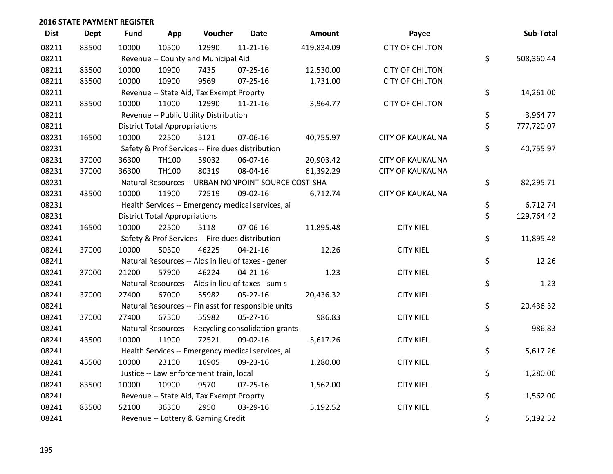| <b>Dist</b> | <b>Dept</b> | <b>Fund</b> | App                                  | Voucher                                             | <b>Date</b>    | <b>Amount</b> | Payee                   | Sub-Total        |
|-------------|-------------|-------------|--------------------------------------|-----------------------------------------------------|----------------|---------------|-------------------------|------------------|
| 08211       | 83500       | 10000       | 10500                                | 12990                                               | $11 - 21 - 16$ | 419,834.09    | <b>CITY OF CHILTON</b>  |                  |
| 08211       |             |             |                                      | Revenue -- County and Municipal Aid                 |                |               |                         | \$<br>508,360.44 |
| 08211       | 83500       | 10000       | 10900                                | 7435                                                | 07-25-16       | 12,530.00     | <b>CITY OF CHILTON</b>  |                  |
| 08211       | 83500       | 10000       | 10900                                | 9569                                                | $07 - 25 - 16$ | 1,731.00      | <b>CITY OF CHILTON</b>  |                  |
| 08211       |             |             |                                      | Revenue -- State Aid, Tax Exempt Proprty            |                |               |                         | \$<br>14,261.00  |
| 08211       | 83500       | 10000       | 11000                                | 12990                                               | 11-21-16       | 3,964.77      | <b>CITY OF CHILTON</b>  |                  |
| 08211       |             |             |                                      | Revenue -- Public Utility Distribution              |                |               |                         | \$<br>3,964.77   |
| 08211       |             |             | <b>District Total Appropriations</b> |                                                     |                |               |                         | \$<br>777,720.07 |
| 08231       | 16500       | 10000       | 22500                                | 5121                                                | 07-06-16       | 40,755.97     | <b>CITY OF KAUKAUNA</b> |                  |
| 08231       |             |             |                                      | Safety & Prof Services -- Fire dues distribution    |                |               |                         | \$<br>40,755.97  |
| 08231       | 37000       | 36300       | <b>TH100</b>                         | 59032                                               | 06-07-16       | 20,903.42     | <b>CITY OF KAUKAUNA</b> |                  |
| 08231       | 37000       | 36300       | TH100                                | 80319                                               | 08-04-16       | 61,392.29     | <b>CITY OF KAUKAUNA</b> |                  |
| 08231       |             |             |                                      | Natural Resources -- URBAN NONPOINT SOURCE COST-SHA |                |               |                         | \$<br>82,295.71  |
| 08231       | 43500       | 10000       | 11900                                | 72519                                               | 09-02-16       | 6,712.74      | <b>CITY OF KAUKAUNA</b> |                  |
| 08231       |             |             |                                      | Health Services -- Emergency medical services, ai   |                |               |                         | \$<br>6,712.74   |
| 08231       |             |             | <b>District Total Appropriations</b> |                                                     |                |               |                         | \$<br>129,764.42 |
| 08241       | 16500       | 10000       | 22500                                | 5118                                                | 07-06-16       | 11,895.48     | <b>CITY KIEL</b>        |                  |
| 08241       |             |             |                                      | Safety & Prof Services -- Fire dues distribution    |                |               |                         | \$<br>11,895.48  |
| 08241       | 37000       | 10000       | 50300                                | 46225                                               | $04 - 21 - 16$ | 12.26         | <b>CITY KIEL</b>        |                  |
| 08241       |             |             |                                      | Natural Resources -- Aids in lieu of taxes - gener  |                |               |                         | \$<br>12.26      |
| 08241       | 37000       | 21200       | 57900                                | 46224                                               | $04 - 21 - 16$ | 1.23          | <b>CITY KIEL</b>        |                  |
| 08241       |             |             |                                      | Natural Resources -- Aids in lieu of taxes - sum s  |                |               |                         | \$<br>1.23       |
| 08241       | 37000       | 27400       | 67000                                | 55982                                               | 05-27-16       | 20,436.32     | <b>CITY KIEL</b>        |                  |
| 08241       |             |             |                                      | Natural Resources -- Fin asst for responsible units |                |               |                         | \$<br>20,436.32  |
| 08241       | 37000       | 27400       | 67300                                | 55982                                               | 05-27-16       | 986.83        | <b>CITY KIEL</b>        |                  |
| 08241       |             |             |                                      | Natural Resources -- Recycling consolidation grants |                |               |                         | \$<br>986.83     |
| 08241       | 43500       | 10000       | 11900                                | 72521                                               | 09-02-16       | 5,617.26      | <b>CITY KIEL</b>        |                  |
| 08241       |             |             |                                      | Health Services -- Emergency medical services, ai   |                |               |                         | \$<br>5,617.26   |
| 08241       | 45500       | 10000       | 23100                                | 16905                                               | 09-23-16       | 1,280.00      | <b>CITY KIEL</b>        |                  |
| 08241       |             |             |                                      | Justice -- Law enforcement train, local             |                |               |                         | \$<br>1,280.00   |
| 08241       | 83500       | 10000       | 10900                                | 9570                                                | 07-25-16       | 1,562.00      | <b>CITY KIEL</b>        |                  |
| 08241       |             |             |                                      | Revenue -- State Aid, Tax Exempt Proprty            |                |               |                         | \$<br>1,562.00   |
| 08241       | 83500       | 52100       | 36300                                | 2950                                                | 03-29-16       | 5,192.52      | <b>CITY KIEL</b>        |                  |
| 08241       |             |             |                                      | Revenue -- Lottery & Gaming Credit                  |                |               |                         | \$<br>5,192.52   |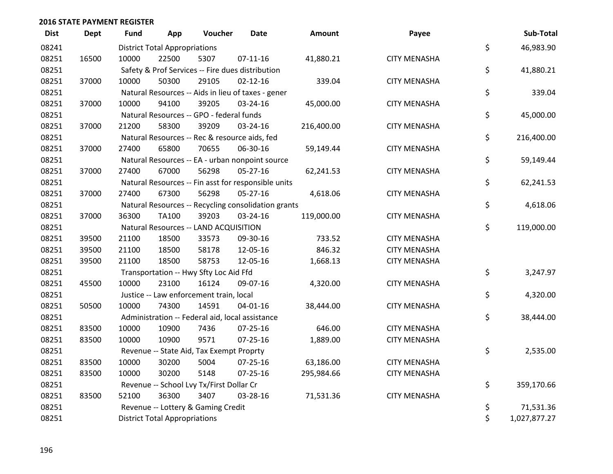| <b>Dist</b> | <b>Dept</b> | Fund  | App                                  | Voucher                                             | <b>Date</b>    | Amount     | Payee               | Sub-Total          |
|-------------|-------------|-------|--------------------------------------|-----------------------------------------------------|----------------|------------|---------------------|--------------------|
| 08241       |             |       | <b>District Total Appropriations</b> |                                                     |                |            |                     | \$<br>46,983.90    |
| 08251       | 16500       | 10000 | 22500                                | 5307                                                | $07-11-16$     | 41,880.21  | <b>CITY MENASHA</b> |                    |
| 08251       |             |       |                                      | Safety & Prof Services -- Fire dues distribution    |                |            |                     | \$<br>41,880.21    |
| 08251       | 37000       | 10000 | 50300                                | 29105                                               | $02 - 12 - 16$ | 339.04     | <b>CITY MENASHA</b> |                    |
| 08251       |             |       |                                      | Natural Resources -- Aids in lieu of taxes - gener  |                |            |                     | \$<br>339.04       |
| 08251       | 37000       | 10000 | 94100                                | 39205                                               | 03-24-16       | 45,000.00  | <b>CITY MENASHA</b> |                    |
| 08251       |             |       |                                      | Natural Resources -- GPO - federal funds            |                |            |                     | \$<br>45,000.00    |
| 08251       | 37000       | 21200 | 58300                                | 39209                                               | 03-24-16       | 216,400.00 | <b>CITY MENASHA</b> |                    |
| 08251       |             |       |                                      | Natural Resources -- Rec & resource aids, fed       |                |            |                     | \$<br>216,400.00   |
| 08251       | 37000       | 27400 | 65800                                | 70655                                               | 06-30-16       | 59,149.44  | <b>CITY MENASHA</b> |                    |
| 08251       |             |       |                                      | Natural Resources -- EA - urban nonpoint source     |                |            |                     | \$<br>59,149.44    |
| 08251       | 37000       | 27400 | 67000                                | 56298                                               | $05 - 27 - 16$ | 62,241.53  | <b>CITY MENASHA</b> |                    |
| 08251       |             |       |                                      | Natural Resources -- Fin asst for responsible units |                |            |                     | \$<br>62,241.53    |
| 08251       | 37000       | 27400 | 67300                                | 56298                                               | $05 - 27 - 16$ | 4,618.06   | <b>CITY MENASHA</b> |                    |
| 08251       |             |       |                                      | Natural Resources -- Recycling consolidation grants |                |            |                     | \$<br>4,618.06     |
| 08251       | 37000       | 36300 | TA100                                | 39203                                               | 03-24-16       | 119,000.00 | <b>CITY MENASHA</b> |                    |
| 08251       |             |       |                                      | Natural Resources -- LAND ACQUISITION               |                |            |                     | \$<br>119,000.00   |
| 08251       | 39500       | 21100 | 18500                                | 33573                                               | 09-30-16       | 733.52     | <b>CITY MENASHA</b> |                    |
| 08251       | 39500       | 21100 | 18500                                | 58178                                               | 12-05-16       | 846.32     | <b>CITY MENASHA</b> |                    |
| 08251       | 39500       | 21100 | 18500                                | 58753                                               | 12-05-16       | 1,668.13   | <b>CITY MENASHA</b> |                    |
| 08251       |             |       |                                      | Transportation -- Hwy Sfty Loc Aid Ffd              |                |            |                     | \$<br>3,247.97     |
| 08251       | 45500       | 10000 | 23100                                | 16124                                               | 09-07-16       | 4,320.00   | <b>CITY MENASHA</b> |                    |
| 08251       |             |       |                                      | Justice -- Law enforcement train, local             |                |            |                     | \$<br>4,320.00     |
| 08251       | 50500       | 10000 | 74300                                | 14591                                               | $04 - 01 - 16$ | 38,444.00  | <b>CITY MENASHA</b> |                    |
| 08251       |             |       |                                      | Administration -- Federal aid, local assistance     |                |            |                     | \$<br>38,444.00    |
| 08251       | 83500       | 10000 | 10900                                | 7436                                                | 07-25-16       | 646.00     | <b>CITY MENASHA</b> |                    |
| 08251       | 83500       | 10000 | 10900                                | 9571                                                | $07 - 25 - 16$ | 1,889.00   | <b>CITY MENASHA</b> |                    |
| 08251       |             |       |                                      | Revenue -- State Aid, Tax Exempt Proprty            |                |            |                     | \$<br>2,535.00     |
| 08251       | 83500       | 10000 | 30200                                | 5004                                                | $07 - 25 - 16$ | 63,186.00  | <b>CITY MENASHA</b> |                    |
| 08251       | 83500       | 10000 | 30200                                | 5148                                                | $07 - 25 - 16$ | 295,984.66 | <b>CITY MENASHA</b> |                    |
| 08251       |             |       |                                      | Revenue -- School Lvy Tx/First Dollar Cr            |                |            |                     | \$<br>359,170.66   |
| 08251       | 83500       | 52100 | 36300                                | 3407                                                | 03-28-16       | 71,531.36  | <b>CITY MENASHA</b> |                    |
| 08251       |             |       |                                      | Revenue -- Lottery & Gaming Credit                  |                |            |                     | \$<br>71,531.36    |
| 08251       |             |       | <b>District Total Appropriations</b> |                                                     |                |            |                     | \$<br>1,027,877.27 |